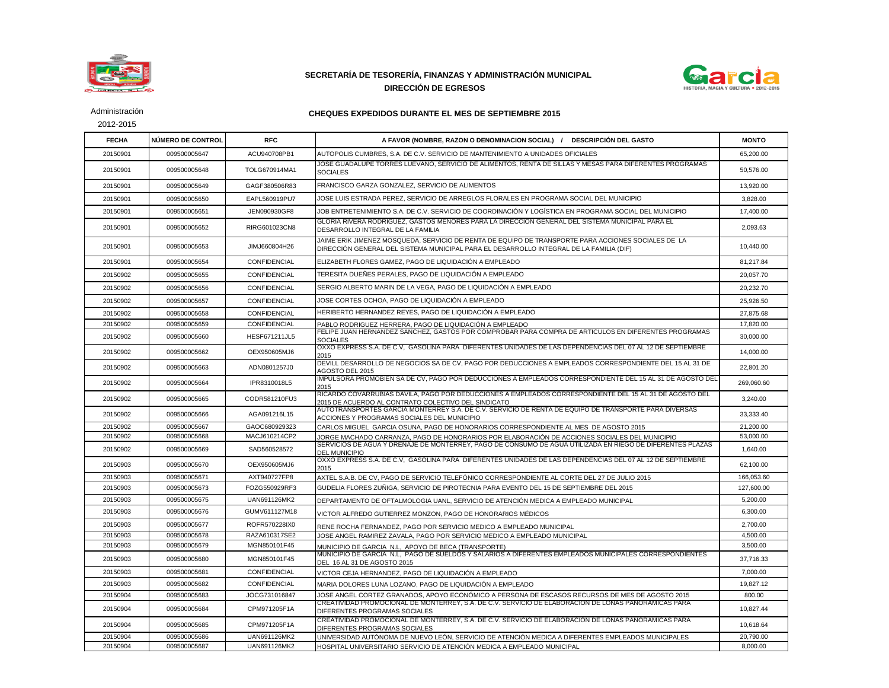

## **SECRETARÍA DE TESORERÍA, FINANZAS Y ADMINISTRACIÓN MUNICIPAL DIRECCIÓN DE EGRESOS**



Administración

2012-2015

## **CHEQUES EXPEDIDOS DURANTE EL MES DE SEPTIEMBRE 2015**

| <b>FECHA</b> | NÚMERO DE CONTROL | <b>RFC</b>          | A FAVOR (NOMBRE, RAZON O DENOMINACION SOCIAL) / DESCRIPCIÓN DEL GASTO                                                                                                                          | <b>MONTO</b> |
|--------------|-------------------|---------------------|------------------------------------------------------------------------------------------------------------------------------------------------------------------------------------------------|--------------|
| 20150901     | 009500005647      | ACU940708PB1        | AUTOPOLIS CUMBRES, S.A. DE C.V. SERVICIO DE MANTENIMIENTO A UNIDADES OFICIALES                                                                                                                 | 65,200.00    |
| 20150901     | 009500005648      | TOLG670914MA1       | JOSE GUADALUPE TORRES LUEVANO, SERVICIO DE ALIMENTOS, RENTA DE SILLAS Y MESAS PARA DIFERENTES PROGRAMAS<br><b>SOCIALES</b>                                                                     | 50,576.00    |
| 20150901     | 009500005649      | GAGF380506R83       | FRANCISCO GARZA GONZALEZ. SERVICIO DE ALIMENTOS                                                                                                                                                | 13,920.00    |
| 20150901     | 009500005650      | EAPL560919PU7       | JOSE LUIS ESTRADA PEREZ, SERVICIO DE ARREGLOS FLORALES EN PROGRAMA SOCIAL DEL MUNICIPIO                                                                                                        | 3,828.00     |
| 20150901     | 009500005651      | JEN090930GF8        | JOB ENTRETENIMIENTO S.A. DE C.V. SERVICIO DE COORDINACIÓN Y LOGÍSTICA EN PROGRAMA SOCIAL DEL MUNICIPIO                                                                                         | 17,400.00    |
| 20150901     | 009500005652      | RIRG601023CN8       | GLORIA RIVERA RODRIGUEZ. GASTOS MENORES PARA LA DIRECCION GENERAL DEL SISTEMA MUNICIPAL PARA EL<br>DESARROLLO INTEGRAL DE LA FAMILIA                                                           | 2,093.63     |
| 20150901     | 009500005653      | JIMJ660804H26       | JAIME ERIK JIMENEZ MOSQUEDA, SERVICIO DE RENTA DE EQUIPO DE TRANSPORTE PARA ACCIONES SOCIALES DE LA<br>DIRECCIÓN GENERAL DEL SISTEMA MUNICIPAL PARA EL DESARROLLO INTEGRAL DE LA FAMILIA (DIF) | 10,440.00    |
| 20150901     | 009500005654      | <b>CONFIDENCIAL</b> | ELIZABETH FLORES GAMEZ, PAGO DE LIQUIDACIÓN A EMPLEADO                                                                                                                                         | 81,217.84    |
| 20150902     | 009500005655      | CONFIDENCIAL        | TERESITA DUEÑES PERALES. PAGO DE LIQUIDACIÓN A EMPLEADO                                                                                                                                        | 20,057.70    |
| 20150902     | 009500005656      | <b>CONFIDENCIAL</b> | SERGIO ALBERTO MARIN DE LA VEGA, PAGO DE LIQUIDACIÓN A EMPLEADO                                                                                                                                | 20,232.70    |
| 20150902     | 009500005657      | CONFIDENCIAL        | JOSE CORTES OCHOA, PAGO DE LIQUIDACIÓN A EMPLEADO                                                                                                                                              | 25,926.50    |
| 20150902     | 009500005658      | CONFIDENCIAL        | HERIBERTO HERNANDEZ REYES, PAGO DE LIQUIDACIÓN A EMPLEADO                                                                                                                                      | 27,875.68    |
| 20150902     | 009500005659      | CONFIDENCIAL        | PABLO RODRIGUEZ HERRERA, PAGO DE LIQUIDACIÓN A EMPLEADO                                                                                                                                        | 17,820.00    |
| 20150902     | 009500005660      | HESF671211JL5       | FELIPE JUAN HERNANDEZ SANCHEZ. GASTOS POR COMPROBAR PARA COMPRA DE ARTICULOS EN DIFERENTES PROGRAMAS<br><b>SOCIALES</b>                                                                        | 30,000.00    |
| 20150902     | 009500005662      | OEX950605MJ6        | OXXO EXPRESS S.A. DE C.V. GASOLINA PARA DIFERENTES UNIDADES DE LAS DEPENDENCIAS DEL 07 AL 12 DE SEPTIEMBRE<br>2015                                                                             | 14.000.00    |
| 20150902     | 009500005663      | ADN0801257J0        | DEVILL DESARROLLO DE NEGOCIOS SA DE CV, PAGO POR DEDUCCIONES A EMPLEADOS CORRESPONDIENTE DEL 15 AL 31 DE<br>AGOSTO DEL 2015                                                                    | 22,801.20    |
| 20150902     | 009500005664      | IPR8310018L5        | IMPULSORA PROMOBIEN SA DE CV, PAGO POR DEDUCCIONES A EMPLEADOS CORRESPONDIENTE DEL 15 AL 31 DE AGOSTO DEL<br>2015                                                                              | 269,060.60   |
| 20150902     | 009500005665      | CODR581210FU3       | RICARDO COVARRUBIAS DAVILA, PAGO POR DEDUCCIONES A EMPLEADOS CORRESPONDIENTE DEL 15 AL 31 DE AGOSTO DEL<br>2015 DE ACUERDO AL CONTRATO COLECTIVO DEL SINDICATO                                 | 3,240.00     |
| 20150902     | 009500005666      | AGA091216L15        | AUTOTRANSPORTES GARCIA MONTERREY S.A. DE C.V. SERVICIO DE RENTA DE EQUIPO DE TRANSPORTE PARA DIVERSAS<br>ACCIONES Y PROGRAMAS SOCIALES DEL MUNICIPIO                                           | 33,333.40    |
| 20150902     | 009500005667      | GAOC680929323       | CARLOS MIGUEL GARCIA OSUNA, PAGO DE HONORARIOS CORRESPONDIENTE AL MES DE AGOSTO 2015                                                                                                           | 21,200.00    |
| 20150902     | 009500005668      | MACJ610214CP2       | JORGE MACHADO CARRANZA. PAGO DE HONORARIOS POR ELABORACIÓN DE ACCIONES SOCIALES DEL MUNICIPIO                                                                                                  | 53,000.00    |
| 20150902     | 009500005669      | SAD560528572        | SERVICIOS DE AGUA Y DRENAJE DE MONTERREY, PAGO DE CONSUMO DE AGUA UTILIZADA EN RIEGO DE DIFERENTES PLAZAS<br><b>DEL MUNICIPIO</b>                                                              | 1,640.00     |
| 20150903     | 009500005670      | OEX950605MJ6        | OXXO EXPRESS S.A. DE C.V. GASOLINA PARA DIFERENTES UNIDADES DE LAS DEPENDENCIAS DEL 07 AL 12 DE SEPTIEMBRE<br>2015                                                                             | 62,100.00    |
| 20150903     | 009500005671      | AXT940727FP8        | AXTEL S.A.B. DE CV, PAGO DE SERVICIO TELEFÓNICO CORRESPONDIENTE AL CORTE DEL 27 DE JULIO 2015                                                                                                  | 166,053.60   |
| 20150903     | 009500005673      | FOZG550929RF3       | GUDELIA FLORES ZUNIGA, SERVICIO DE PIROTECNIA PARA EVENTO DEL 15 DE SEPTIEMBRE DEL 2015                                                                                                        | 127,600.00   |
| 20150903     | 009500005675      | UAN691126MK2        | DEPARTAMENTO DE OFTALMOLOGIA UANL, SERVICIO DE ATENCIÓN MEDICA A EMPLEADO MUNICIPAL                                                                                                            | 5,200.00     |
| 20150903     | 009500005676      | GUMV611127M18       | VICTOR ALFREDO GUTIERREZ MONZON. PAGO DE HONORARIOS MÉDICOS                                                                                                                                    | 6,300.00     |
| 20150903     | 009500005677      | ROFR570228IX0       | RENE ROCHA FERNANDEZ, PAGO POR SERVICIO MEDICO A EMPLEADO MUNICIPAL                                                                                                                            | 2,700.00     |
| 20150903     | 009500005678      | RAZA610317SE2       | JOSE ANGEL RAMIREZ ZAVALA, PAGO POR SERVICIO MEDICO A EMPLEADO MUNICIPAL                                                                                                                       | 4,500.00     |
| 20150903     | 009500005679      | MGN850101F45        | MUNICIPIO DE GARCIA N.L. APOYO DE BECA (TRANSPORTE)                                                                                                                                            | 3,500.00     |
| 20150903     | 009500005680      | MGN850101F45        | MUNICIPIO DE GARCIA  N.L.  PAGO DE SUELDOS Y SALARIOS A DIFERENTES EMPLEADOS MUNICIPALES CORRESPONDIENTES<br>DEL 16 AL 31 DE AGOSTO 2015                                                       | 37,716.33    |
| 20150903     | 009500005681      | CONFIDENCIAL        | VICTOR CEJA HERNANDEZ, PAGO DE LIQUIDACIÓN A EMPLEADO                                                                                                                                          | 7,000.00     |
| 20150903     | 009500005682      | <b>CONFIDENCIAL</b> | MARIA DOLORES LUNA LOZANO, PAGO DE LIQUIDACIÓN A EMPLEADO                                                                                                                                      | 19,827.12    |
| 20150904     | 009500005683      | JOCG731016847       | JOSE ANGEL CORTEZ GRANADOS. APOYO ECONÓMICO A PERSONA DE ESCASOS RECURSOS DE MES DE AGOSTO 2015                                                                                                | 800.00       |
| 20150904     | 009500005684      | CPM971205F1A        | CREATIVIDAD PROMOCIONAL DE MONTERREY, S.A. DE C.V. SERVICIO DE ELABORACION DE LONAS PANORAMICAS PARA<br>DIFERENTES PROGRAMAS SOCIALES                                                          | 10,827.44    |
| 20150904     | 009500005685      | CPM971205F1A        | CREATIVIDAD PROMOCIONAL DE MONTERREY, S.A. DE C.V. SERVICIO DE ELABORACION DE LONAS PANORAMICAS PARA<br>DIFERENTES PROGRAMAS SOCIALES                                                          | 10,618.64    |
| 20150904     | 009500005686      | UAN691126MK2        | UNIVERSIDAD AUTÓNOMA DE NUEVO LEÓN, SERVICIO DE ATENCIÓN MEDICA A DIFERENTES EMPLEADOS MUNICIPALES                                                                                             | 20,790.00    |
| 20150904     | 009500005687      | UAN691126MK2        | HOSPITAL UNIVERSITARIO SERVICIO DE ATENCIÓN MEDICA A EMPLEADO MUNICIPAL                                                                                                                        | 8,000.00     |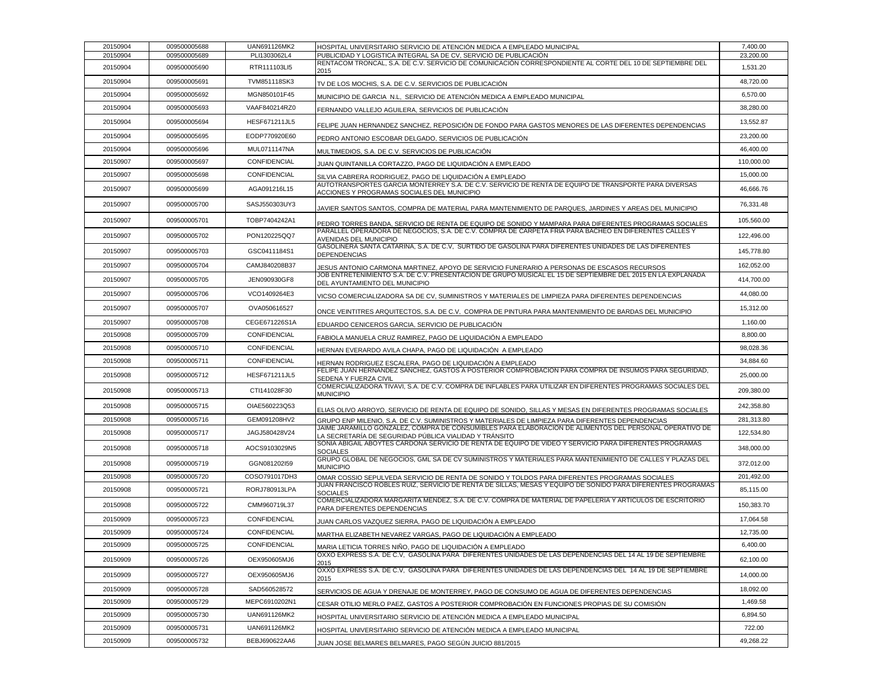| 20150904 | 009500005688 | UAN691126MK2         | HOSPITAL UNIVERSITARIO SERVICIO DE ATENCIÓN MEDICA A EMPLEADO MUNICIPAL                                                                                                        | 7,400.00   |
|----------|--------------|----------------------|--------------------------------------------------------------------------------------------------------------------------------------------------------------------------------|------------|
| 20150904 | 009500005689 | PLI1303062L4         | PUBLICIDAD Y LOGISTICA INTEGRAL SA DE CV, SERVICIO DE PUBLICACIÓN<br>RENTACOM TRONCAL, S.A. DE C.V. SERVICIO DE COMUNICACION CORRESPONDIENTE AL CORTE DEL 10 DE SEPTIEMBRE DEL | 23,200.00  |
| 20150904 | 009500005690 | RTR111103LI5         | 2015                                                                                                                                                                           | 1,531.20   |
| 20150904 | 009500005691 | TVM851118SK3         | TV DE LOS MOCHIS, S.A. DE C.V. SERVICIOS DE PUBLICACION                                                                                                                        | 48,720.00  |
| 20150904 | 009500005692 | MGN850101F45         | MUNICIPIO DE GARCIA  N.L.  SERVICIO DE ATENCIÓN MEDICA A EMPLEADO MUNICIPAL                                                                                                    | 6,570.00   |
| 20150904 | 009500005693 | VAAF840214RZ0        | FERNANDO VALLEJO AGUILERA, SERVICIOS DE PUBLICACIÓN                                                                                                                            | 38,280.00  |
| 20150904 | 009500005694 | HESF671211JL5        | FELIPE JUAN HERNANDEZ SANCHEZ, REPOSICIÓN DE FONDO PARA GASTOS MENORES DE LAS DIFERENTES DEPENDENCIAS                                                                          | 13,552.87  |
| 20150904 | 009500005695 | EODP770920E60        | PEDRO ANTONIO ESCOBAR DELGADO, SERVICIOS DE PUBLICACION                                                                                                                        | 23,200.00  |
| 20150904 | 009500005696 | MUL0711147NA         | MULTIMEDIOS, S.A. DE C.V. SERVICIOS DE PUBLICACIÓN                                                                                                                             | 46,400.00  |
| 20150907 | 009500005697 | <b>CONFIDENCIAL</b>  | JUAN QUINTANILLA CORTAZZO, PAGO DE LIQUIDACIÓN A EMPLEADO                                                                                                                      | 110,000.00 |
| 20150907 | 009500005698 | CONFIDENCIAL         | SILVIA CABRERA RODRIGUEZ, PAGO DE LIQUIDACIÓN A EMPLEADO                                                                                                                       | 15,000.00  |
| 20150907 | 009500005699 | AGA091216L15         | AUTOTRANSPORTES GARCIA MONTERREY S.A. DE C.V. SERVICIO DE RENTA DE EQUIPO DE TRANSPORTE PARA DIVERSAS<br>ACCIONES Y PROGRAMAS SOCIALES DEL MUNICIPIO                           | 46,666.76  |
| 20150907 | 009500005700 | SASJ550303UY3        | JAVIER SANTOS SANTOS, COMPRA DE MATERIAL PARA MANTENIMIENTO DE PARQUES, JARDINES Y AREAS DEL MUNICIPIO                                                                         | 76,331.48  |
| 20150907 | 009500005701 | TOBP7404242A1        | PEDRO TORRES BANDA, SERVICIO DE RENTA DE EQUIPO DE SONIDO Y MAMPARA PARA DIFERENTES PROGRAMAS SOCIALES                                                                         | 105,560.00 |
| 20150907 | 009500005702 | PON120225QQ7         | PARALLEL OPERADORA DE NEGOCIOS, S.A. DE C.V. COMPRA DE CARPETA FRIA PARA BACHEO EN DIFERENTES CALLES Y<br>AVENIDAS DEL MUNICIPIO                                               | 122,496.00 |
| 20150907 | 009500005703 | GSC0411184S1         | GASOLINERA SANTA CATARINA, S.A. DE C.V. SURTIDO DE GASOLINA PARA DIFERENTES UNIDADES DE LAS DIFERENTES<br><b>DEPENDENCIAS</b>                                                  | 145,778.80 |
| 20150907 | 009500005704 | CAMJ840208B37        | JESUS ANTONIO CARMONA MARTINEZ, APOYO DE SERVICIO FUNERARIO A PERSONAS DE ESCASOS RECURSOS                                                                                     | 162,052.00 |
| 20150907 | 009500005705 | JEN090930GF8         | JOB ENTRETENIMIENTO S.A. DE C.V. PRESENTACION DE GRUPO MUSICAL EL 15 DE SEPTIEMBRE DEL 2015 EN LA EXPLANADA<br>DEL AYUNTAMIENTO DEL MUNICIPIO                                  | 414,700.00 |
| 20150907 | 009500005706 | VCO1409264E3         | VICSO COMERCIALIZADORA SA DE CV, SUMINISTROS Y MATERIALES DE LIMPIEZA PARA DIFERENTES DEPENDENCIAS                                                                             | 44,080.00  |
| 20150907 | 009500005707 | OVA050616527         | ONCE VEINTITRES ARQUITECTOS, S.A. DE C.V, COMPRA DE PINTURA PARA MANTENIMIENTO DE BARDAS DEL MUNICIPIO                                                                         | 15,312.00  |
| 20150907 | 009500005708 | CEGE671226S1A        | EDUARDO CENICEROS GARCIA, SERVICIO DE PUBLICACIÓN                                                                                                                              | 1,160.00   |
| 20150908 | 009500005709 | <b>CONFIDENCIAL</b>  | FABIOLA MANUELA CRUZ RAMIREZ, PAGO DE LIQUIDACIÓN A EMPLEADO                                                                                                                   | 8,800.00   |
| 20150908 | 009500005710 | <b>CONFIDENCIAL</b>  | HERNAN EVERARDO AVILA CHAPA, PAGO DE LIQUIDACIÓN  A EMPLEADO                                                                                                                   | 98,028.36  |
| 20150908 | 009500005711 | <b>CONFIDENCIAL</b>  | HERNAN RODRIGUEZ ESCALERA, PAGO DE LIQUIDACIÓN A EMPLEADO                                                                                                                      | 34,884.60  |
| 20150908 | 009500005712 | <b>HESF671211JL5</b> | FELIPE JUAN HERNANDEZ SANCHEZ, GASTOS A POSTERIOR COMPROBACION PARA COMPRA DE INSUMOS PARA SEGURIDAD,<br>SEDENA Y FUERZA CIVIL                                                 | 25,000.00  |
| 20150908 | 009500005713 | CTI141028F30         | COMERCIALIZADORA TIVAVI, S.A. DE C.V. COMPRA DE INFLABLES PARA UTILIZAR EN DIFERENTES PROGRAMAS SOCIALES DEL<br><b>MUNICIPIO</b>                                               | 209,380.00 |
| 20150908 | 009500005715 | OIAE560223Q53        | ELIAS OLIVO ARROYO, SERVICIO DE RENTA DE EQUIPO DE SONIDO, SILLAS Y MESAS EN DIFERENTES PROGRAMAS SOCIALES                                                                     | 242,358.80 |
| 20150908 | 009500005716 | GEM091208HV2         | GRUPO ENP MILENIO, S.A. DE C.V. SUMINISTROS Y MATERIALES DE LIMPIEZA PARA DIFERENTES DEPENDENCIAS                                                                              | 281,313.80 |
| 20150908 | 009500005717 | JAGJ580428V24        | JAIME JARAMILLO GONZALEZ, COMPRA DE CONSUMIBLES PARA ELABORACION DE ALIMENTOS DEL PERSONAL OPERATIVO DE<br>LA SECRETARÍA DE SEGURIDAD PÚBLICA VIALIDAD Y TRÁNSITO              | 122,534.80 |
| 20150908 | 009500005718 | AOCS9103029N5        | SONIA ABIGAIL ABOYTES CARDONA SERVICIO DE RENTA DE EQUIPO DE VIDEO Y SERVICIO PARA DIFERENTES PROGRAMAS<br><b>SOCIALES</b>                                                     | 348,000.00 |
| 20150908 | 009500005719 | GGN081202l59         | GRUPO GLOBAL DE NEGOCIOS. GML SA DE CV SUMINISTROS Y MATERIALES PARA MANTENIMIENTO DE CALLES Y PLAZAS DEL<br><b>MUNICIPIO</b>                                                  | 372,012.00 |
| 20150908 | 009500005720 | COSO791017DH3        | OMAR COSSIO SEPULVEDA SERVICIO DE RENTA DE SONIDO Y TOLDOS PARA DIFERENTES PROGRAMAS SOCIALES                                                                                  | 201,492.00 |
| 20150908 | 009500005721 | RORJ780913LPA        | JUAN FRANCISCO ROBLES RUIZ. SERVICIO DE RENTA DE SILLAS. MESAS Y EQUIPO DE SONIDO PARA DIFERENTES PROGRAMAS.<br><b>SOCIALES</b>                                                | 85.115.00  |
| 20150908 | 009500005722 | CMM960719L37         | COMERCIALIZADORA MARGARITA MENDEZ, S.A. DE C.V. COMPRA DE MATERIAL DE PAPELERIA Y ARTICULOS DE ESCRITORIO<br>PARA DIFERENTES DEPENDENCIAS                                      | 150,383.70 |
| 20150909 | 009500005723 | <b>CONFIDENCIAL</b>  | JUAN CARLOS VAZQUEZ SIERRA, PAGO DE LIQUIDACIÓN A EMPLEADO                                                                                                                     | 17,064.58  |
| 20150909 | 009500005724 | <b>CONFIDENCIAL</b>  | MARTHA ELIZABETH NEVAREZ VARGAS, PAGO DE LIQUIDACIÓN A EMPLEADO                                                                                                                | 12.735.00  |
| 20150909 | 009500005725 | <b>CONFIDENCIAL</b>  | MARIA LETICIA TORRES NIÑO, PAGO DE LIQUIDACIÓN A EMPLEADO                                                                                                                      | 6,400.00   |
| 20150909 | 009500005726 | OEX950605MJ6         | OXXO EXPRESS S.A. DE C.V. GASOLINA PARA DIFERENTES UNIDADES DE LAS DEPENDENCIAS DEL 14 AL 19 DE SEPTIEMBRE<br>2015                                                             | 62,100.00  |
| 20150909 | 009500005727 | OEX950605MJ6         | OXXO EXPRESS S.A. DE C.V. GASOLINA PARA DIFERENTES UNIDADES DE LAS DEPENDENCIAS DEL 14 AL 19 DE SEPTIEMBRE<br>2015                                                             | 14,000.00  |
| 20150909 | 009500005728 | SAD560528572         | SERVICIOS DE AGUA Y DRENAJE DE MONTERREY, PAGO DE CONSUMO DE AGUA DE DIFERENTES DEPENDENCIAS                                                                                   | 18,092.00  |
| 20150909 | 009500005729 | MEPC6910202N1        | CESAR OTILIO MERLO PAEZ, GASTOS A POSTERIOR COMPROBACIÓN EN FUNCIONES PROPIAS DE SU COMISIÓN                                                                                   | 1,469.58   |
| 20150909 | 009500005730 | UAN691126MK2         | HOSPITAL UNIVERSITARIO SERVICIO DE ATENCIÓN MEDICA A EMPLEADO MUNICIPAL                                                                                                        | 6,894.50   |
| 20150909 | 009500005731 | UAN691126MK2         | HOSPITAL UNIVERSITARIO SERVICIO DE ATENCIÓN MEDICA A EMPLEADO MUNICIPAL                                                                                                        | 722.00     |
| 20150909 | 009500005732 | BEBJ690622AA6        | JUAN JOSE BELMARES BELMARES, PAGO SEGÚN JUICIO 881/2015                                                                                                                        | 49,268.22  |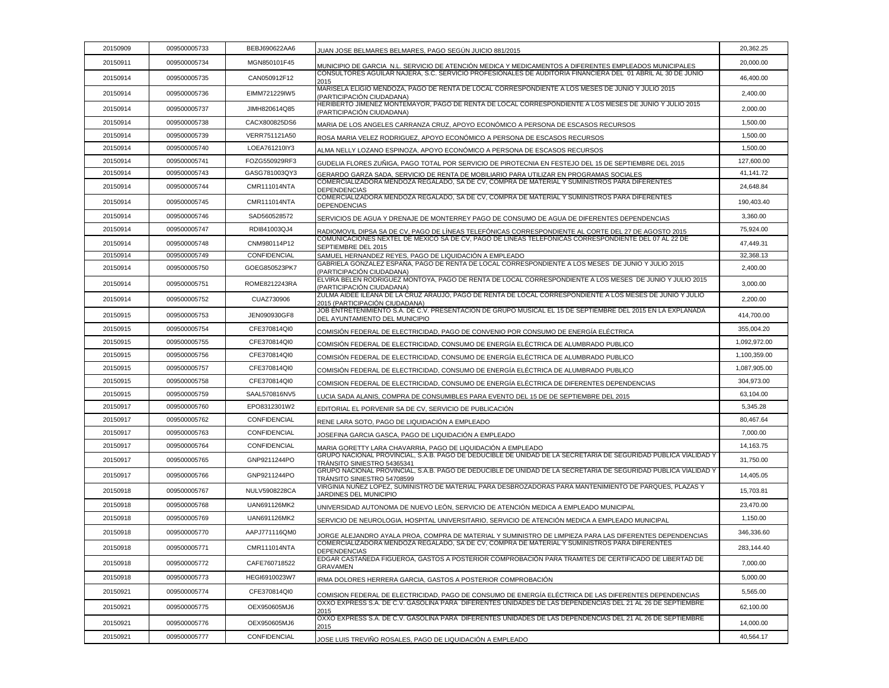| 20150909 | 009500005733 | BEBJ690622AA6        | JUAN JOSE BELMARES BELMARES. PAGO SEGÚN JUICIO 881/2015                                                                                       | 20,362.25    |
|----------|--------------|----------------------|-----------------------------------------------------------------------------------------------------------------------------------------------|--------------|
| 20150911 | 009500005734 | MGN850101F45         | MUNICIPIO DE GARCIA  N.L. SERVICIO DE ATENCIÓN MEDICA Y MEDICAMENTOS A DIFERENTES EMPLEADOS MUNICIPALES                                       | 20,000.00    |
| 20150914 | 009500005735 | CAN050912F12         | CONSULTORES AGUILAR NAJERA, S.C. SERVICIO PROFESIONALES DE AUDITORIA FINANCIERA DEL 01 ABRIL AL 30 DE JUNIO<br>2015                           | 46,400.00    |
| 20150914 | 009500005736 | EIMM721229IW5        | MARISELA ELIGIO MENDOZA, PAGO DE RENTA DE LOCAL CORRESPONDIENTE A LOS MESES DE JUNIO Y JULIO 2015<br>(PARTICIPACIÓN CIUDADANA)                | 2,400.00     |
| 20150914 | 009500005737 | JIMH820614Q85        | HERIBERTO JIMENEZ MONTEMAYOR, PAGO DE RENTA DE LOCAL CORRESPONDIENTE A LOS MESES DE JUNIO Y JULIO 2015<br>(PARTICIPACIÓN CIUDADANA)           | 2,000.00     |
| 20150914 | 009500005738 | CACX800825DS6        | MARIA DE LOS ANGELES CARRANZA CRUZ, APOYO ECONÓMICO A PERSONA DE ESCASOS RECURSOS                                                             | 1,500.00     |
| 20150914 | 009500005739 | VERR751121A50        | ROSA MARIA VELEZ RODRIGUEZ. APOYO ECONÓMICO A PERSONA DE ESCASOS RECURSOS                                                                     | 1,500.00     |
| 20150914 | 009500005740 | LOEA761210IY3        | ALMA NELLY LOZANO ESPINOZA, APOYO ECONÓMICO A PERSONA DE ESCASOS RECURSOS                                                                     | 1,500.00     |
| 20150914 | 009500005741 | FOZG550929RF3        | GUDELIA FLORES ZUÑIGA, PAGO TOTAL POR SERVICIO DE PIROTECNIA EN FESTEJO DEL 15 DE SEPTIEMBRE DEL 2015                                         | 127,600.00   |
| 20150914 | 009500005743 | GASG781003QY3        | GERARDO GARZA SADA, SERVICIO DE RENTA DE MOBILIARIO PARA UTILIZAR EN PROGRAMAS SOCIALES                                                       | 41,141.72    |
| 20150914 | 009500005744 | CMR111014NTA         | COMERCIALIZADORA MENDOZA REGALADO, SA DE CV, COMPRA DE MATERIAL Y SUMINISTROS PARA DIFERENTES<br><b>DEPENDENCIAS</b>                          | 24,648.84    |
| 20150914 | 009500005745 | CMR111014NTA         | COMERCIALIZADORA MENDOZA REGALADO, SA DE CV, COMPRA DE MATERIAL Y SUMINISTROS PARA DIFERENTES<br><b>DEPENDENCIAS</b>                          | 190,403.40   |
| 20150914 | 009500005746 | SAD560528572         | SERVICIOS DE AGUA Y DRENAJE DE MONTERREY PAGO DE CONSUMO DE AGUA DE DIFERENTES DEPENDENCIAS                                                   | 3,360.00     |
| 20150914 | 009500005747 | RDI841003QJ4         | RADIOMOVIL DIPSA SA DE CV, PAGO DE LÍNEAS TELEFÓNICAS CORRESPONDIENTE AL CORTE DEL 27 DE AGOSTO 2015                                          | 75,924.00    |
| 20150914 | 009500005748 | CNM980114P12         | COMUNICACIONES NEXTEL DE MEXICO SA DE CV. PAGO DE LINEAS TELEFONICAS CORRESPONDIENTE DEL 07 AL 22 DE<br>SEPTIEMBRE DEL 2015                   | 47,449.31    |
| 20150914 | 009500005749 | CONFIDENCIAL         | SAMUEL HERNANDEZ REYES, PAGO DE LIQUIDACIÓN A EMPLEADO                                                                                        | 32,368.13    |
| 20150914 | 009500005750 | GOEG850523PK7        | GABRIELA GONZALEZ ESPAÑA. PAGO DE RENTA DE LOCAL CORRESPONDIENTE A LOS MESES DE JUNIO Y JULIO 2015<br>(PARTICIPACIÓN CIUDADANA)               | 2,400.00     |
| 20150914 | 009500005751 | ROME8212243RA        | ELVIRA BELEN RODRIGUEZ MONTOYA, PAGO DE RENTA DE LOCAL CORRESPONDIENTE A LOS MESES. DE JUNIO Y JULIO 2015<br>(PARTICIPACIÓN CIUDADANA)        | 3,000.00     |
| 20150914 | 009500005752 | CUAZ730906           | ZULMA AIDEE ILEANA DE LA CRUZ ARAUJO, PAGO DE RENTA DE LOCAL CORRESPONDIENTE A LOS MESES DE JUNIO Y JULIO<br>2015 (PARTICIPACIÓN CIUDADANA)   | 2,200.00     |
| 20150915 | 009500005753 | JEN090930GF8         | JOB ENTRETENIMIENTO S.A. DE C.V. PRESENTACION DE GRUPO MUSICAL EL 15 DE SEPTIEMBRE DEL 2015 EN LA EXPLANADA<br>DEL AYUNTAMIENTO DEL MUNICIPIO | 414,700.00   |
| 20150915 | 009500005754 | CFE370814QI0         | COMISIÓN FEDERAL DE ELECTRICIDAD, PAGO DE CONVENIO POR CONSUMO DE ENERGÍA ELÉCTRICA                                                           | 355,004.20   |
| 20150915 | 009500005755 | CFE370814QI0         | COMISIÓN FEDERAL DE ELECTRICIDAD, CONSUMO DE ENERGÍA ELÉCTRICA DE ALUMBRADO PUBLICO                                                           | 1,092,972.00 |
| 20150915 | 009500005756 | CFE370814QI0         | COMISIÓN FEDERAL DE ELECTRICIDAD, CONSUMO DE ENERGÍA ELÉCTRICA DE ALUMBRADO PUBLICO                                                           | 1,100,359.00 |
| 20150915 | 009500005757 | CFE370814QI0         | COMISIÓN FEDERAL DE ELECTRICIDAD, CONSUMO DE ENERGÍA ELÉCTRICA DE ALUMBRADO PUBLICO                                                           | 1,087,905.00 |
| 20150915 | 009500005758 | CFE370814QI0         | COMISION FEDERAL DE ELECTRICIDAD, CONSUMO DE ENERGÍA ELÉCTRICA DE DIFERENTES DEPENDENCIAS                                                     | 304,973.00   |
| 20150915 | 009500005759 | SAAL570816NV5        | LUCIA SADA ALANIS, COMPRA DE CONSUMIBLES PARA EVENTO DEL 15 DE DE SEPTIEMBRE DEL 2015                                                         | 63,104.00    |
| 20150917 | 009500005760 | EPO8312301W2         | EDITORIAL EL PORVENIR SA DE CV, SERVICIO DE PUBLICACIÓN                                                                                       | 5,345.28     |
| 20150917 | 009500005762 | <b>CONFIDENCIAL</b>  | RENE LARA SOTO, PAGO DE LIQUIDACIÓN A EMPLEADO                                                                                                | 80,467.64    |
| 20150917 | 009500005763 | <b>CONFIDENCIAL</b>  | JOSEFINA GARCIA GASCA, PAGO DE LIQUIDACIÓN A EMPLEADO                                                                                         | 7,000.00     |
| 20150917 | 009500005764 | CONFIDENCIAL         | MARIA GORETTY LARA CHAVARRIA, PAGO DE LIQUIDACIÓN A EMPLEADO                                                                                  | 14,163.75    |
| 20150917 | 009500005765 | GNP9211244PO         | GRUPO NACIONAL PROVINCIAL, S.A.B. PAGO DE DEDUCIBLE DE UNIDAD DE LA SECRETARIA DE SEGURIDAD PUBLICA VIALIDAD Y<br>TRÁNSITO SINIESTRO 54365341 | 31,750.00    |
| 20150917 | 009500005766 | GNP9211244PO         | GRUPO NACIONAL PROVINCIAL, S.A.B. PAGO DE DEDUCIBLE DE UNIDAD DE LA SECRETARIA DE SEGURIDAD PUBLICA VIALIDAD Y<br>TRÁNSITO SINIESTRO 54708599 | 14,405.05    |
| 20150918 | 009500005767 | <b>NULV5908228CA</b> | VIRGINIA NUNEZ LOPEZ, SUMINISTRO DE MATERIAL PARA DESBROZADORAS PARA MANTENIMIENTO DE PARQUES, PLAZAS Y<br>JARDINES DEL MUNICIPIO             | 15,703.81    |
| 20150918 | 009500005768 | UAN691126MK2         | UNIVERSIDAD AUTONOMA DE NUEVO LEÓN, SERVICIO DE ATENCIÓN MEDICA A EMPLEADO MUNICIPAL                                                          | 23,470.00    |
| 20150918 | 009500005769 | UAN691126MK2         | SERVICIO DE NEUROLOGIA, HOSPITAL UNIVERSITARIO, SERVICIO DE ATENCIÓN MEDICA A EMPLEADO MUNICIPAL                                              | 1,150.00     |
| 20150918 | 009500005770 | AAPJ771116QM0        | JORGE ALEJANDRO AYALA PROA, COMPRA DE MATERIAL Y SUMINISTRO DE LIMPIEZA PARA LAS DIFERENTES DEPENDENCIAS                                      | 346,336.60   |
| 20150918 | 009500005771 | CMR111014NTA         | COMERCIALIZADORA MENDOZA REGALADO, SA DE CV, COMPRA DE MATERIAL Y SUMINISTROS PARA DIFERENTES<br><b>DEPENDENCIAS</b>                          | 283,144.40   |
| 20150918 | 009500005772 | CAFE760718522        | EDGAR CASTANEDA FIGUEROA, GASTOS A POSTERIOR COMPROBACION PARA TRAMITES DE CERTIFICADO DE LIBERTAD DE<br>GRAVAMEN                             | 7,000.00     |
| 20150918 | 009500005773 | HEGI6910023W7        | IRMA DOLORES HERRERA GARCIA, GASTOS A POSTERIOR COMPROBACIÓN                                                                                  | 5,000.00     |
| 20150921 | 009500005774 | CFE370814QI0         | COMISION FEDERAL DE ELECTRICIDAD, PAGO DE CONSUMO DE ENERGÍA ELÉCTRICA DE LAS DIFERENTES DEPENDENCIAS                                         | 5,565.00     |
| 20150921 | 009500005775 | OEX950605MJ6         | OXXO EXPRESS S.A. DE C.V. GASOLINA PARA DIFERENTES UNIDADES DE LAS DEPENDENCIAS DEL 21 AL 26 DE SEPTIEMBRE<br>2015                            | 62,100.00    |
| 20150921 | 009500005776 | OEX950605MJ6         | OXXO EXPRESS S.A. DE C.V. GASOLINA PARA DIFERENTES UNIDADES DE LAS DEPENDENCIAS DEL 21 AL 26 DE SEPTIEMBRE<br>2015                            | 14,000.00    |
| 20150921 | 009500005777 | CONFIDENCIAL         | JOSE LUIS TREVIÑO ROSALES, PAGO DE LIQUIDACIÓN A EMPLEADO                                                                                     | 40,564.17    |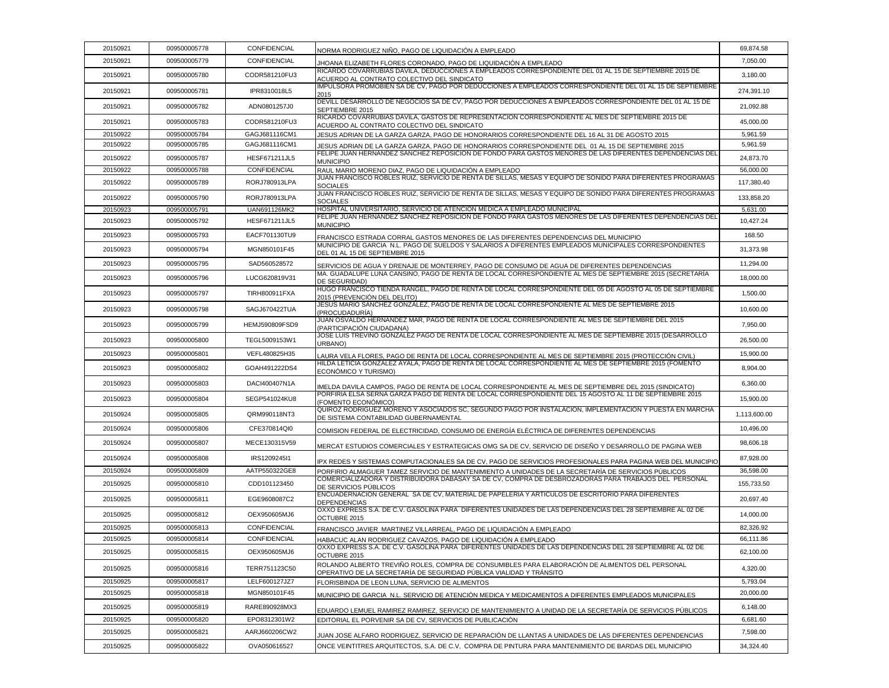| 20150921 | 009500005778 | <b>CONFIDENCIAL</b>  | NORMA RODRIGUEZ NIÑO, PAGO DE LIQUIDACIÓN A EMPLEADO                                                                                                                                                         | 69,874.58    |
|----------|--------------|----------------------|--------------------------------------------------------------------------------------------------------------------------------------------------------------------------------------------------------------|--------------|
| 20150921 | 009500005779 | <b>CONFIDENCIAL</b>  | JHOANA ELIZABETH FLORES CORONADO. PAGO DE LIQUIDACIÓN A EMPLEADO                                                                                                                                             | 7,050.00     |
| 20150921 | 009500005780 | CODR581210FU3        | RICARDO COVARRUBIAS DAVILA, DEDUCCIONES A EMPLEADOS CORRESPONDIENTE DEL 01 AL 15 DE SEPTIEMBRE 2015 DE<br>ACUERDO AL CONTRATO COLECTIVO DEL SINDICATO                                                        | 3,180.00     |
| 20150921 | 009500005781 | IPR8310018L5         | IMPULSORA PROMOBIEN SA DE CV, PAGO POR DEDUCCIONES A EMPLEADOS CORRESPONDIENTE DEL 01 AL 15 DE SEPTIEMBRE<br>2015                                                                                            | 274,391.10   |
| 20150921 | 009500005782 | ADN0801257J0         | DEVILL DESARROLLO DE NEGOCIOS SA DE CV. PAGO POR DEDUCCIONES A EMPLEADOS CORRESPONDIENTE DEL 01 AL 15 DE<br>SEPTIEMBRE 2015                                                                                  | 21,092.88    |
| 20150921 | 009500005783 | CODR581210FU3        | RICARDO COVARRUBIAS DAVILA, GASTOS DE REPRESENTACION CORRESPONDIENTE AL MES DE SEPTIEMBRE 2015 DE<br>ACUERDO AL CONTRATO COLECTIVO DEL SINDICATO                                                             | 45,000.00    |
| 20150922 | 009500005784 | GAGJ681116CM1        | JESUS ADRIAN DE LA GARZA GARZA. PAGO DE HONORARIOS CORRESPONDIENTE DEL 16 AL 31 DE AGOSTO 2015                                                                                                               | 5,961.59     |
| 20150922 | 009500005785 | GAGJ681116CM1        | JESUS ADRIAN DE LA GARZA GARZA, PAGO DE HONORARIOS CORRESPONDIENTE DEL 01 AL 15 DE SEPTIEMBRE 2015                                                                                                           | 5,961.59     |
| 20150922 | 009500005787 | HESF671211JL5        | FELIPE JUAN HERNANDEZ SANCHEZ REPOSICION DE FONDO PARA GASTOS MENORES DE LAS DIFERENTES DEPENDENCIAS DEL<br><b>MUNICIPIO</b>                                                                                 | 24,873.70    |
| 20150922 | 009500005788 | CONFIDENCIAL         | RAUL MARIO MORENO DIAZ. PAGO DE LIQUIDACIÓN A EMPLEADO                                                                                                                                                       | 56,000.00    |
| 20150922 | 009500005789 | RORJ780913LPA        | JUAN FRANCISCO ROBLES RUIZ, SERVICIO DE RENTA DE SILLAS, MESAS Y EQUIPO DE SONIDO PARA DIFERENTES PROGRAMAS<br><b>SOCIALES</b>                                                                               | 117,380.40   |
| 20150922 | 009500005790 | RORJ780913LPA        | JUAN FRANCISCO ROBLES RUIZ, SERVICIO DE RENTA DE SILLAS, MESAS Y EQUIPO DE SONIDO PARA DIFERENTES PROGRAMAS<br><b>SOCIALES</b>                                                                               | 133,858.20   |
| 20150923 | 009500005791 | UAN691126MK2         | HOSPITAL UNIVERSITARIO, SERVICIO DE ATENCIÓN MEDICA A EMPLEADO MUNICIPAL                                                                                                                                     | 5,631.00     |
| 20150923 | 009500005792 | <b>HESF671211JL5</b> | FELIPE JUAN HERNANDEZ SANCHEZ REPOSICION DE FONDO PARA GASTOS MENORES DE LAS DIFERENTES DEPENDENCIAS DEL<br><b>MUNICIPIO</b>                                                                                 | 10,427.24    |
| 20150923 | 009500005793 | EACF701130TU9        | FRANCISCO ESTRADA CORRAL GASTOS MENORES DE LAS DIFERENTES DEPENDENCIAS DEL MUNICIPIO                                                                                                                         | 168.50       |
| 20150923 | 009500005794 | MGN850101F45         | MUNICIPIO DE GARCIA N.L. PAGO DE SUELDOS Y SALARIOS A DIFERENTES EMPLEADOS MUNICIPALES CORRESPONDIENTES                                                                                                      | 31,373.98    |
| 20150923 | 009500005795 | SAD560528572         | DEL 01 AL 15 DE SEPTIEMBRE 2015                                                                                                                                                                              | 11,294.00    |
|          | 009500005796 | LUCG620819V31        | SERVICIOS DE AGUA Y DRENAJE DE MONTERREY, PAGO DE CONSUMO DE AGUA DE DIFERENTES DEPENDENCIAS<br>MA. GUADALUPE LUNA CANSINO, PAGO DE RENTA DE LOCAL CORRESPONDIENTE AL MES DE SEPTIEMBRE 2015 (SECRETARIA     |              |
| 20150923 |              |                      | DE SEGURIDAD)<br>HUGO FRANCISCO TIENDA RANGEL, PAGO DE RENTA DE LOCAL CORRESPONDIENTE DEL 05 DE AGOSTO AL 05 DE SEPTIEMBRE                                                                                   | 18,000.00    |
| 20150923 | 009500005797 | <b>TIRH800911FXA</b> | 2015 (PREVENCIÓN DEL DELITO)<br>JESUS MARIO SANCHEZ GONZALEZ, PAGO DE RENTA DE LOCAL CORRESPONDIENTE AL MES DE SEPTIEMBRE 2015                                                                               | 1,500.00     |
| 20150923 | 009500005798 | SAGJ670422TUA        | (PROCUDADURÍA)                                                                                                                                                                                               | 10,600.00    |
| 20150923 | 009500005799 | HEMJ590809FSD9       | JUAN OSVALDO HERNANDEZ MAR, PAGO DE RENTA DE LOCAL CORRESPONDIENTE AL MES DE SEPTIEMBRE DEL 2015<br>(PARTICIPACIÓN CIUDADANA)                                                                                | 7,950.00     |
| 20150923 | 009500005800 | TEGL5009153W1        | JOSE LUIS TREVINO GONZALEZ PAGO DE RENTA DE LOCAL CORRESPONDIENTE AL MES DE SEPTIEMBRE 2015 (DESARROLLO<br>URBANO)                                                                                           | 26,500.00    |
| 20150923 | 009500005801 | VEFL480825H35        | LAURA VELA FLORES, PAGO DE RENTA DE LOCAL CORRESPONDIENTE AL MES DE SEPTIEMBRE 2015 (PROTECCIÓN CIVIL)                                                                                                       | 15,900.00    |
| 20150923 | 009500005802 | GOAH491222DS4        | HILDA LETICIA GONZALEZ AYALA, PAGO DE RENTA DE LOCAL CORRESPONDIENTE AL MES DE SEPTIEMBRE 2015 (FOMENTO<br>ECONÓMICO Y TURISMO)                                                                              | 8,904.00     |
| 20150923 | 009500005803 | DACI400407N1A        | IMELDA DAVILA CAMPOS, PAGO DE RENTA DE LOCAL CORRESPONDIENTE AL MES DE SEPTIEMBRE DEL 2015 (SINDICATO)                                                                                                       | 6,360.00     |
| 20150923 | 009500005804 | SEGP541024KU8        | PORFIRIA ELSA SERNA GARZA PAGO DE RENTA DE LOCAL CORRESPONDIENTE DEL 15 AGOSTO AL 11 DE SEPTIEMBRE 2015<br>(FOMENTO ECONÓMICO)                                                                               | 15,900.00    |
| 20150924 | 009500005805 | QRM990118NT3         | QUIROZ RODRIGUEZ MORENO Y ASOCIADOS SC. SEGUNDO PAGO POR INSTALACION, IMPLEMENTACION Y PUESTA EN MARCHA<br>DE SISTEMA CONTABILIDAD GUBERNAMENTAL                                                             | 1,113,600.00 |
| 20150924 | 009500005806 | CFE370814QI0         | COMISION FEDERAL DE ELECTRICIDAD, CONSUMO DE ENERGÍA ELÉCTRICA DE DIFERENTES DEPENDENCIAS                                                                                                                    | 10,496.00    |
| 20150924 | 009500005807 | MECE130315V59        |                                                                                                                                                                                                              | 98,606.18    |
| 20150924 | 009500005808 | IRS1209245I1         | MERCAT ESTUDIOS COMERCIALES Y ESTRATEGICAS OMG SA DE CV, SERVICIO DE DISEÑO Y DESARROLLO DE PAGINA WEB                                                                                                       | 87,928.00    |
| 20150924 | 009500005809 | AATP550322GE8        | IPX REDES Y SISTEMAS COMPUTACIONALES SA DE CV, PAGO DE SERVICIOS PROFESIONALES PARA PAGINA WEB DEL MUNICIPIO                                                                                                 | 36,598.00    |
| 20150925 | 009500005810 | CDD101123450         | PORFIRIO ALMAGUER TAMEZ SERVICIO DE MANTENIMIENTO A UNIDADES DE LA SECRETARÍA DE SERVICIOS PÚBLICOS<br>COMERCIALIZADORA Y DISTRIBUIDORA DABASAY SA DE CV, COMPRA DE DESBROZADORAS PARA TRABAJOS DEL PERSONAL |              |
|          |              |                      | DE SERVICIOS PÚBLICOS<br>ENCUADERNACION GENERAL SA DE CV, MATERIAL DE PAPELERIA Y ARTICULOS DE ESCRITORIO PARA DIFERENTES                                                                                    | 155,733.50   |
| 20150925 | 009500005811 | EGE9608087C2         | <b>DEPENDENCIAS</b><br>OXXO EXPRESS S.A. DE C.V. GASOLINA PARA DIFERENTES UNIDADES DE LAS DEPENDENCIAS DEL 28 SEPTIEMBRE AL 02 DE                                                                            | 20,697.40    |
| 20150925 | 009500005812 | OEX950605MJ6         | OCTUBRE 2015                                                                                                                                                                                                 | 14,000.00    |
| 20150925 | 009500005813 | <b>CONFIDENCIAL</b>  | FRANCISCO JAVIER MARTINEZ VILLARREAL, PAGO DE LIQUIDACIÓN A EMPLEADO                                                                                                                                         | 82,326.92    |
| 20150925 | 009500005814 | <b>CONFIDENCIAL</b>  | HABACUC ALAN RODRIGUEZ CAVAZOS, PAGO DE LIQUIDACIÓN A EMPLEADO<br>OXXO EXPRESS S.A. DE C.V. GASOLINA PARA DIFERENTES UNIDADES DE LAS DEPENDENCIAS DEL 28 SEPTIEMBRE AL 02 DE                                 | 66,111.86    |
| 20150925 | 009500005815 | OEX950605MJ6         | OCTUBRE 2015                                                                                                                                                                                                 | 62,100.00    |
| 20150925 | 009500005816 | TERR751123C50        | ROLANDO ALBERTO TREVIÑO ROLES, COMPRA DE CONSUMIBLES PARA ELABORACIÓN DE ALIMENTOS DEL PERSONAL<br>OPERATIVO DE LA SECRETARÍA DE SEGURIDAD PÚBLICA VIALIDAD Y TRÁNSITO                                       | 4,320.00     |
| 20150925 | 009500005817 | LELF600127JZ7        | FLORISBINDA DE LEON LUNA, SERVICIO DE ALIMENTOS                                                                                                                                                              | 5,793.04     |
| 20150925 | 009500005818 | MGN850101F45         | MUNICIPIO DE GARCIA N.L. SERVICIO DE ATENCIÓN MEDICA Y MEDICAMENTOS A DIFERENTES EMPLEADOS MUNICIPALES                                                                                                       | 20,000.00    |
| 20150925 | 009500005819 | RARE890928MX3        | EDUARDO LEMUEL RAMIREZ RAMIREZ, SERVICIO DE MANTENIMIENTO A UNIDAD DE LA SECRETARÍA DE SERVICIOS PÚBLICOS                                                                                                    | 6,148.00     |
| 20150925 | 009500005820 | EPO8312301W2         | EDITORIAL EL PORVENIR SA DE CV, SERVICIOS DE PUBLICACIÓN                                                                                                                                                     | 6,681.60     |
| 20150925 | 009500005821 | AARJ660206CW2        | JUAN JOSE ALFARO RODRIGUEZ, SERVICIO DE REPARACION DE LLANTAS A UNIDADES DE LAS DIFERENTES DEPENDENCIAS                                                                                                      | 7,598.00     |
| 20150925 | 009500005822 | OVA050616527         | ONCE VEINTITRES ARQUITECTOS, S.A. DE C.V. COMPRA DE PINTURA PARA MANTENIMIENTO DE BARDAS DEL MUNICIPIO                                                                                                       | 34,324.40    |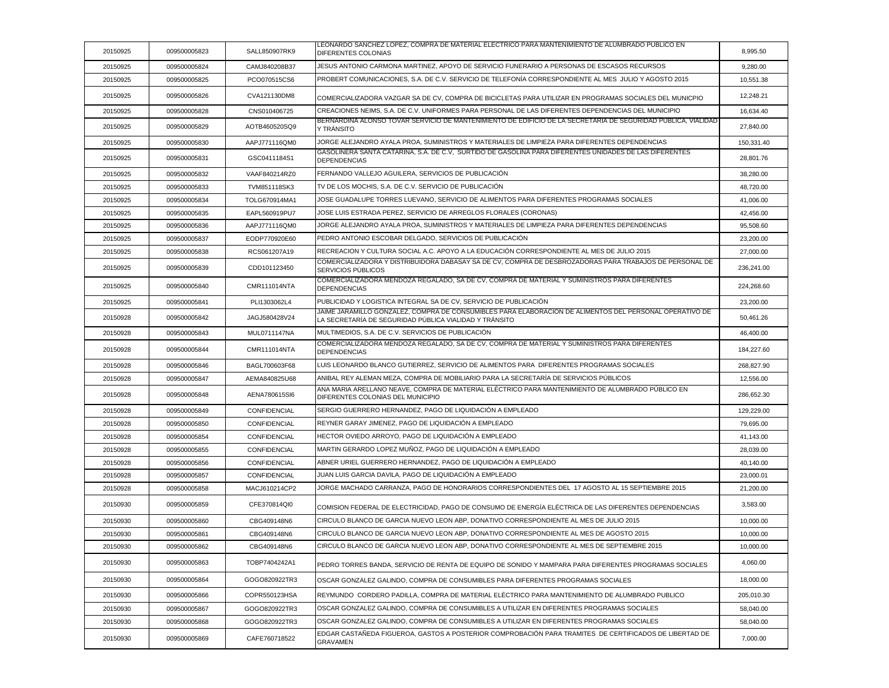| 20150925 | 009500005823 | SALL850907RK9       | LEONARDO SANCHEZ LOPEZ, COMPRA DE MATERIAL ELECTRICO PARA MANTENIMIENTO DE ALUMBRADO PUBLICO EN<br>DIFERENTES COLONIAS                                            | 8,995.50   |
|----------|--------------|---------------------|-------------------------------------------------------------------------------------------------------------------------------------------------------------------|------------|
| 20150925 | 009500005824 | CAMJ840208B37       | JESUS ANTONIO CARMONA MARTINEZ, APOYO DE SERVICIO FUNERARIO A PERSONAS DE ESCASOS RECURSOS                                                                        | 9.280.00   |
| 20150925 | 009500005825 | PCO070515CS6        | PROBERT COMUNICACIONES, S.A. DE C.V. SERVICIO DE TELEFONÍA CORRESPONDIENTE AL MES JULIO Y AGOSTO 2015                                                             | 10,551.38  |
| 20150925 | 009500005826 | CVA121130DM8        | COMERCIALIZADORA VAZGAR SA DE CV. COMPRA DE BICICLETAS PARA UTILIZAR EN PROGRAMAS SOCIALES DEL MUNICPIO                                                           | 12,248.21  |
| 20150925 | 009500005828 | CNS010406725        | CREACIONES NEIMS, S.A. DE C.V. UNIFORMES PARA PERSONAL DE LAS DIFERENTES DEPENDENCIAS DEL MUNICIPIO                                                               | 16,634.40  |
| 20150925 | 009500005829 | AOTB460520SQ9       | BERNARDINA ALONSO TOVAR SERVICIO DE MANTENIMIENTO DE EDIFICIO DE LA SECRETARIA DE SEGURIDAD PUBLICA, VIALIDAD<br>Y TRÁNSITO                                       | 27,840.00  |
| 20150925 | 009500005830 | AAPJ771116QM0       | JORGE ALEJANDRO AYALA PROA, SUMINISTROS Y MATERIALES DE LIMPIEZA PARA DIFERENTES DEPENDENCIAS                                                                     | 150,331.40 |
| 20150925 | 009500005831 | GSC0411184S1        | GASOLINERA SANTA CATARINA, S.A. DE C.V. SURTIDO DE GASOLINA PARA DIFERENTES UNIDADES DE LAS DIFERENTES<br>DEPENDENCIAS                                            | 28,801.76  |
| 20150925 | 009500005832 | VAAF840214RZ0       | FERNANDO VALLEJO AGUILERA, SERVICIOS DE PUBLICACIÓN                                                                                                               | 38,280.00  |
| 20150925 | 009500005833 | TVM851118SK3        | TV DE LOS MOCHIS, S.A. DE C.V. SERVICIO DE PUBLICACIÓN                                                                                                            | 48,720.00  |
| 20150925 | 009500005834 | TOLG670914MA1       | JOSE GUADALUPE TORRES LUEVANO, SERVICIO DE ALIMENTOS PARA DIFERENTES PROGRAMAS SOCIALES                                                                           | 41,006.00  |
| 20150925 | 009500005835 | EAPL560919PU7       | JOSE LUIS ESTRADA PEREZ, SERVICIO DE ARREGLOS FLORALES (CORONAS)                                                                                                  | 42,456.00  |
| 20150925 | 009500005836 | AAPJ771116QM0       | JORGE ALEJANDRO AYALA PROA, SUMINISTROS Y MATERIALES DE LIMPIEZA PARA DIFERENTES DEPENDENCIAS                                                                     | 95,508.60  |
| 20150925 | 009500005837 | EODP770920E60       | PEDRO ANTONIO ESCOBAR DELGADO, SERVICIOS DE PUBLICACIÓN                                                                                                           | 23,200.00  |
| 20150925 | 009500005838 | RCS061207A19        | RECREACION Y CULTURA SOCIAL A.C. APOYO A LA EDUCACIÓN CORRESPONDIENTE AL MES DE JULIO 2015                                                                        | 27,000.00  |
| 20150925 | 009500005839 | CDD101123450        | COMERCIALIZADORA Y DISTRIBUIDORA DABASAY SA DE CV, COMPRA DE DESBROZADORAS PARA TRABAJOS DE PERSONAL DE<br>SERVICIOS PÚBLICOS                                     | 236.241.00 |
| 20150925 | 009500005840 | CMR111014NTA        | COMERCIALIZADORA MENDOZA REGALADO. SA DE CV. COMPRA DE MATERIAL Y SUMINISTROS PARA DIFERENTES<br><b>DEPENDENCIAS</b>                                              | 224,268.60 |
| 20150925 | 009500005841 | PLI1303062L4        | PUBLICIDAD Y LOGISTICA INTEGRAL SA DE CV. SERVICIO DE PUBLICACIÓN                                                                                                 | 23,200.00  |
| 20150928 | 009500005842 | JAGJ580428V24       | JAIME JARAMILLO GONZALEZ, COMPRA DE CONSUMIBLES PARA ELABORACION DE ALIMENTOS DEL PERSONAL OPERATIVO DE<br>LA SECRETARÍA DE SEGURIDAD PÚBLICA VIALIDAD Y TRÁNSITO | 50,461.26  |
| 20150928 | 009500005843 | MUL0711147NA        | MULTIMEDIOS, S.A. DE C.V. SERVICIOS DE PUBLICACIÓN                                                                                                                | 46,400.00  |
| 20150928 | 009500005844 | CMR111014NTA        | COMERCIALIZADORA MENDOZA REGALADO, SA DE CV, COMPRA DE MATERIAL Y SUMINISTROS PARA DIFERENTES<br><b>DEPENDENCIAS</b>                                              | 184,227.60 |
| 20150928 | 009500005846 | BAGL700603F68       | LUIS LEONARDO BLANCO GUTIERREZ, SERVICIO DE ALIMENTOS PARA DIFERENTES PROGRAMAS SOCIALES.                                                                         | 268,827.90 |
| 20150928 | 009500005847 | AEMA840825U68       | ANIBAL REY ALEMAN MEZA, COMPRA DE MOBILIARIO PARA LA SECRETARÍA DE SERVICIOS PÚBLICOS                                                                             | 12,556.00  |
| 20150928 | 009500005848 | AENA780615SI6       | ANA MARIA ARELLANO NEAVE, COMPRA DE MATERIAL ELÉCTRICO PARA MANTENIMIENTO DE ALUMBRADO PÚBLICO EN<br>DIFERENTES COLONIAS DEL MUNICIPIO                            | 286,652.30 |
| 20150928 | 009500005849 | <b>CONFIDENCIAL</b> | SERGIO GUERRERO HERNANDEZ, PAGO DE LIQUIDACIÓN A EMPLEADO                                                                                                         | 129.229.00 |
| 20150928 | 009500005850 | CONFIDENCIAL        | REYNER GARAY JIMENEZ. PAGO DE LIQUIDACIÓN A EMPLEADO                                                                                                              | 79,695.00  |
| 20150928 | 009500005854 | <b>CONFIDENCIAL</b> | HECTOR OVIEDO ARROYO, PAGO DE LIQUIDACIÓN A EMPLEADO                                                                                                              | 41,143.00  |
| 20150928 | 009500005855 | CONFIDENCIAL        | MARTIN GERARDO LOPEZ MUÑOZ, PAGO DE LIQUIDACIÓN A EMPLEADO                                                                                                        | 28,039.00  |
| 20150928 | 009500005856 | CONFIDENCIAL        | ABNER URIEL GUERRERO HERNANDEZ, PAGO DE LIQUIDACIÓN A EMPLEADO                                                                                                    | 40,140.00  |
| 20150928 | 009500005857 | <b>CONFIDENCIAL</b> | JUAN LUIS GARCIA DAVILA, PAGO DE LIQUIDACIÓN A EMPLEADO                                                                                                           | 23,000.01  |
| 20150928 | 009500005858 | MACJ610214CP2       | JORGE MACHADO CARRANZA, PAGO DE HONORARIOS CORRESPONDIENTES DEL 17 AGOSTO AL 15 SEPTIEMBRE 2015                                                                   | 21,200.00  |
| 20150930 | 009500005859 | CFE370814QI0        | COMISION FEDERAL DE ELECTRICIDAD, PAGO DE CONSUMO DE ENERGÍA ELÉCTRICA DE LAS DIFERENTES DEPENDENCIAS                                                             | 3,583.00   |
| 20150930 | 009500005860 | CBG409148N6         | CIRCULO BLANCO DE GARCIA NUEVO LEON ABP, DONATIVO CORRESPONDIENTE AL MES DE JULIO 2015                                                                            | 10,000.00  |
| 20150930 | 009500005861 | CBG409148N6         | CIRCULO BLANCO DE GARCIA NUEVO LEON ABP, DONATIVO CORRESPONDIENTE AL MES DE AGOSTO 2015                                                                           | 10,000.00  |
| 20150930 | 009500005862 | CBG409148N6         | CIRCULO BLANCO DE GARCIA NUEVO LEON ABP. DONATIVO CORRESPONDIENTE AL MES DE SEPTIEMBRE 2015                                                                       | 10,000.00  |
| 20150930 | 009500005863 | TOBP7404242A1       | PEDRO TORRES BANDA, SERVICIO DE RENTA DE EQUIPO DE SONIDO Y MAMPARA PARA DIFERENTES PROGRAMAS SOCIALES                                                            | 4,060.00   |
| 20150930 | 009500005864 | GOGO820922TR3       | OSCAR GONZALEZ GALINDO. COMPRA DE CONSUMIBLES PARA DIFERENTES PROGRAMAS SOCIALES                                                                                  | 18,000.00  |
| 20150930 | 009500005866 | COPR550123HSA       | REYMUNDO CORDERO PADILLA, COMPRA DE MATERIAL ELÉCTRICO PARA MANTENIMIENTO DE ALUMBRADO PUBLICO                                                                    | 205,010.30 |
| 20150930 | 009500005867 | GOGO820922TR3       | OSCAR GONZALEZ GALINDO, COMPRA DE CONSUMIBLES A UTILIZAR EN DIFERENTES PROGRAMAS SOCIALES                                                                         | 58,040.00  |
| 20150930 | 009500005868 | GOGO820922TR3       | OSCAR GONZALEZ GALINDO, COMPRA DE CONSUMIBLES A UTILIZAR EN DIFERENTES PROGRAMAS SOCIALES                                                                         | 58,040.00  |
| 20150930 | 009500005869 | CAFE760718522       | EDGAR CASTAÑEDA FIGUEROA, GASTOS A POSTERIOR COMPROBACIÓN PARA TRAMITES DE CERTIFICADOS DE LIBERTAD DE<br>GRAVAMEN                                                | 7,000.00   |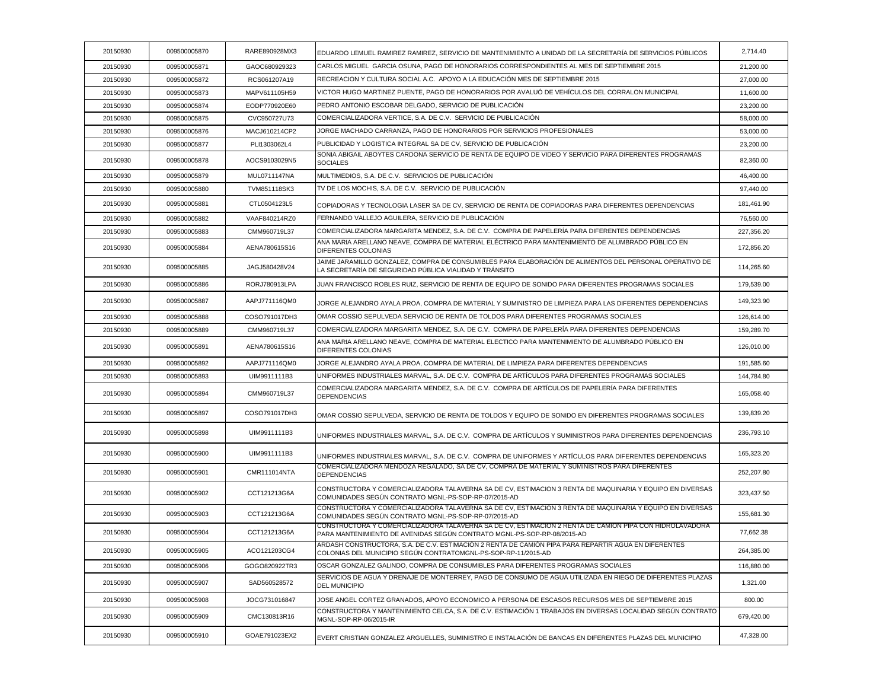| 20150930 | 009500005870 | RARE890928MX3       | EDUARDO LEMUEL RAMIREZ RAMIREZ, SERVICIO DE MANTENIMIENTO A UNIDAD DE LA SECRETARÍA DE SERVICIOS PÚBLICOS                                                                                 | 2,714.40   |
|----------|--------------|---------------------|-------------------------------------------------------------------------------------------------------------------------------------------------------------------------------------------|------------|
| 20150930 | 009500005871 | GAOC680929323       | CARLOS MIGUEL GARCIA OSUNA. PAGO DE HONORARIOS CORRESPONDIENTES AL MES DE SEPTIEMBRE 2015                                                                                                 | 21,200.00  |
| 20150930 | 009500005872 | RCS061207A19        | RECREACION Y CULTURA SOCIAL A.C. APOYO A LA EDUCACIÓN MES DE SEPTIEMBRE 2015                                                                                                              | 27,000.00  |
| 20150930 | 009500005873 | MAPV611105H59       | VICTOR HUGO MARTINEZ PUENTE. PAGO DE HONORARIOS POR AVALUÓ DE VEHÍCULOS DEL CORRALON MUNICIPAL                                                                                            | 11,600.00  |
| 20150930 | 009500005874 | EODP770920E60       | PEDRO ANTONIO ESCOBAR DELGADO, SERVICIO DE PUBLICACIÓN                                                                                                                                    | 23,200.00  |
| 20150930 | 009500005875 | CVC950727U73        | COMERCIALIZADORA VERTICE, S.A. DE C.V.  SERVICIO DE PUBLICACIÓN                                                                                                                           | 58,000.00  |
| 20150930 | 009500005876 | MACJ610214CP2       | JORGE MACHADO CARRANZA. PAGO DE HONORARIOS POR SERVICIOS PROFESIONALES                                                                                                                    | 53,000.00  |
| 20150930 | 009500005877 | PLI1303062L4        | PUBLICIDAD Y LOGISTICA INTEGRAL SA DE CV. SERVICIO DE PUBLICACIÓN                                                                                                                         | 23,200.00  |
| 20150930 | 009500005878 | AOCS9103029N5       | SONIA ABIGAIL ABOYTES CARDONA SERVICIO DE RENTA DE EQUIPO DE VIDEO Y SERVICIO PARA DIFERENTES PROGRAMAS<br><b>SOCIALES</b>                                                                | 82,360.00  |
| 20150930 | 009500005879 | MUL0711147NA        | MULTIMEDIOS, S.A. DE C.V. SERVICIOS DE PUBLICACIÓN                                                                                                                                        | 46,400.00  |
| 20150930 | 009500005880 | TVM851118SK3        | TV DE LOS MOCHIS. S.A. DE C.V.  SERVICIO DE PUBLICACIÓN.                                                                                                                                  | 97,440.00  |
| 20150930 | 009500005881 | CTL0504123L5        | COPIADORAS Y TECNOLOGIA LASER SA DE CV, SERVICIO DE RENTA DE COPIADORAS PARA DIFERENTES DEPENDENCIAS                                                                                      | 181,461.90 |
| 20150930 | 009500005882 | VAAF840214RZ0       | FERNANDO VALLEJO AGUILERA, SERVICIO DE PUBLICACIÓN                                                                                                                                        | 76,560.00  |
| 20150930 | 009500005883 | CMM960719L37        | COMERCIALIZADORA MARGARITA MENDEZ, S.A. DE C.V.  COMPRA DE PAPELERÍA PARA DIFERENTES DEPENDENCIAS                                                                                         | 227,356.20 |
| 20150930 | 009500005884 | AENA780615S16       | ANA MARIA ARELLANO NEAVE. COMPRA DE MATERIAL ELÉCTRICO PARA MANTENIMIENTO DE ALUMBRADO PÚBLICO EN<br>DIFERENTES COLONIAS                                                                  | 172,856.20 |
| 20150930 | 009500005885 | JAGJ580428V24       | JAIME JARAMILLO GONZALEZ, COMPRA DE CONSUMIBLES PARA ELABORACIÓN DE ALIMENTOS DEL PERSONAL OPERATIVO DE<br>LA SECRETARÍA DE SEGURIDAD PÚBLICA VIALIDAD Y TRÁNSITO                         | 114.265.60 |
| 20150930 | 009500005886 | RORJ780913LPA       | JUAN FRANCISCO ROBLES RUIZ, SERVICIO DE RENTA DE EQUIPO DE SONIDO PARA DIFERENTES PROGRAMAS SOCIALES                                                                                      | 179,539.00 |
| 20150930 | 009500005887 | AAPJ771116QM0       | JORGE ALEJANDRO AYALA PROA, COMPRA DE MATERIAL Y SUMINISTRO DE LIMPIEZA PARA LAS DIFERENTES DEPENDENCIAS                                                                                  | 149,323.90 |
| 20150930 | 009500005888 | COSO791017DH3       | OMAR COSSIO SEPULVEDA SERVICIO DE RENTA DE TOLDOS PARA DIFERENTES PROGRAMAS SOCIALES                                                                                                      | 126,614.00 |
| 20150930 | 009500005889 | CMM960719L37        | COMERCIALIZADORA MARGARITA MENDEZ, S.A. DE C.V. COMPRA DE PAPELERÍA PARA DIFERENTES DEPENDENCIAS                                                                                          | 159,289.70 |
| 20150930 | 009500005891 | AENA780615S16       | ANA MARIA ARELLANO NEAVE, COMPRA DE MATERIAL ELECTICO PARA MANTENIMIENTO DE ALUMBRADO PÚBLICO EN<br>DIFERENTES COLONIAS                                                                   | 126,010.00 |
| 20150930 | 009500005892 | AAPJ771116QM0       | JORGE ALEJANDRO AYALA PROA. COMPRA DE MATERIAL DE LIMPIEZA PARA DIFERENTES DEPENDENCIAS                                                                                                   | 191,585.60 |
| 20150930 | 009500005893 | UIM9911111B3        | UNIFORMES INDUSTRIALES MARVAL, S.A. DE C.V.  COMPRA DE ARTÍCULOS PARA DIFERENTES PROGRAMAS SOCIALES                                                                                       | 144,784.80 |
| 20150930 | 009500005894 | CMM960719L37        | COMERCIALIZADORA MARGARITA MENDEZ, S.A. DE C.V.  COMPRA DE ARTÍCULOS DE PAPELERÍA PARA DIFERENTES<br><b>DEPENDENCIAS</b>                                                                  | 165,058.40 |
| 20150930 | 009500005897 | COSO791017DH3       | OMAR COSSIO SEPULVEDA, SERVICIO DE RENTA DE TOLDOS Y EQUIPO DE SONIDO EN DIFERENTES PROGRAMAS SOCIALES                                                                                    | 139,839.20 |
| 20150930 | 009500005898 | UIM9911111B3        | UNIFORMES INDUSTRIALES MARVAL. S.A. DE C.V.  COMPRA DE ARTÍCULOS Y SUMINISTROS PARA DIFERENTES DEPENDENCIAS                                                                               | 236,793.10 |
| 20150930 | 009500005900 | UIM9911111B3        | UNIFORMES INDUSTRIALES MARVAL. S.A. DE C.V.  COMPRA DE UNIFORMES Y ARTÍCULOS PARA DIFERENTES DEPENDENCIAS                                                                                 | 165,323.20 |
| 20150930 | 009500005901 | <b>CMR111014NTA</b> | COMERCIALIZADORA MENDOZA REGALADO. SA DE CV. COMPRA DE MATERIAL Y SUMINISTROS PARA DIFERENTES<br><b>DEPENDENCIAS</b>                                                                      | 252,207.80 |
| 20150930 | 009500005902 | CCT121213G6A        | CONSTRUCTORA Y COMERCIALIZADORA TALAVERNA SA DE CV, ESTIMACION 3 RENTA DE MAQUINARIA Y EQUIPO EN DIVERSAS<br>COMUNIDADES SEGUN CONTRATO MGNL-PS-SOP-RP-07/2015-AD                         | 323,437.50 |
| 20150930 | 009500005903 | CCT121213G6A        | CONSTRUCTORA Y COMERCIALIZADORA TALAVERNA SA DE CV, ESTIMACION 3 RENTA DE MAQUINARIA Y EQUIPO EN DIVERSAS<br>COMUNIDADES SEGÚN CONTRATO MGNL-PS-SOP-RP-07/2015-AD                         | 155,681.30 |
| 20150930 | 009500005904 | CCT121213G6A        | <u>CONSTRUCTORA Y COMERCIALIZADORA TALAVERNA SA DE CV. ESTIMACIÓN 2 RENTA DE CAMIÓN PIPA CON HIDROLAVADORA</u><br>PARA MANTENIMIENTO DE AVENIDAS SEGÚN CONTRATO MGNL-PS-SOP-RP-08/2015-AD | 77,662.38  |
| 20150930 | 009500005905 | ACO121203CG4        | ARDASH CONSTRUCTORA, S.A. DE C.V. ESTIMACIÓN 2 RENTA DE CAMIÓN PIPA PARA REPARTIR AGUA EN DIFERENTES<br>COLONIAS DEL MUNICIPIO SEGÚN CONTRATOMGNL-PS-SOP-RP-11/2015-AD                    | 264,385.00 |
| 20150930 | 009500005906 | GOGO820922TR3       | OSCAR GONZALEZ GALINDO, COMPRA DE CONSUMIBLES PARA DIFERENTES PROGRAMAS SOCIALES                                                                                                          | 116,880.00 |
| 20150930 | 009500005907 | SAD560528572        | SERVICIOS DE AGUA Y DRENAJE DE MONTERREY, PAGO DE CONSUMO DE AGUA UTILIZADA EN RIEGO DE DIFERENTES PLAZAS<br><b>DEL MUNICIPIO</b>                                                         | 1,321.00   |
| 20150930 | 009500005908 | JOCG731016847       | JOSE ANGEL CORTEZ GRANADOS, APOYO ECONOMICO A PERSONA DE ESCASOS RECURSOS MES DE SEPTIEMBRE 2015                                                                                          | 800.00     |
| 20150930 | 009500005909 | CMC130813R16        | CONSTRUCTORA Y MANTENIMIENTO CELCA, S.A. DE C.V. ESTIMACIÓN 1 TRABAJOS EN DIVERSAS LOCALIDAD SEGÚN CONTRATO<br>MGNL-SOP-RP-06/2015-IR                                                     | 679,420.00 |
| 20150930 | 009500005910 | GOAE791023EX2       | EVERT CRISTIAN GONZALEZ ARGUELLES, SUMINISTRO E INSTALACIÓN DE BANCAS EN DIFERENTES PLAZAS DEL MUNICIPIO                                                                                  | 47,328.00  |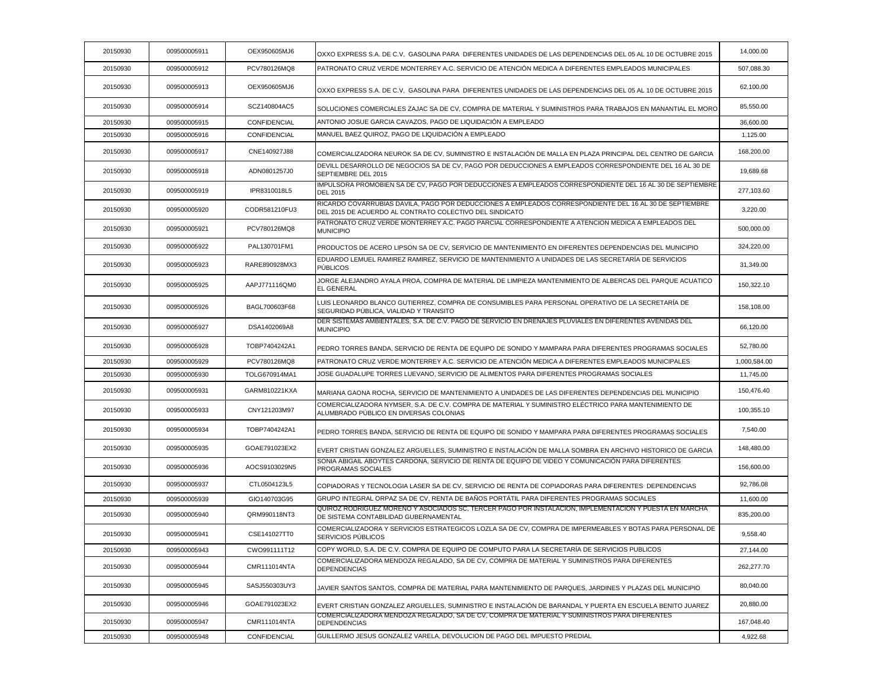| 20150930 | 009500005911 | OEX950605MJ6        | OXXO EXPRESS S.A. DE C.V. GASOLINA PARA DIFERENTES UNIDADES DE LAS DEPENDENCIAS DEL 05 AL 10 DE OCTUBRE 2015                                                                                                | 14,000.00    |
|----------|--------------|---------------------|-------------------------------------------------------------------------------------------------------------------------------------------------------------------------------------------------------------|--------------|
| 20150930 | 009500005912 | PCV780126MQ8        | PATRONATO CRUZ VERDE MONTERREY A.C. SERVICIO DE ATENCIÓN MEDICA A DIFERENTES EMPLEADOS MUNICIPALES                                                                                                          | 507,088.30   |
| 20150930 | 009500005913 | OEX950605MJ6        | OXXO EXPRESS S.A. DE C.V. GASOLINA PARA DIFERENTES UNIDADES DE LAS DEPENDENCIAS DEL 05 AL 10 DE OCTUBRE 2015                                                                                                | 62,100.00    |
| 20150930 | 009500005914 | SCZ140804AC5        | SOLUCIONES COMERCIALES ZAJAC SA DE CV, COMPRA DE MATERIAL Y SUMINISTROS PARA TRABAJOS EN MANANTIAL EL MORO                                                                                                  | 85,550.00    |
| 20150930 | 009500005915 | CONFIDENCIAL        | ANTONIO JOSUE GARCIA CAVAZOS, PAGO DE LIQUIDACIÓN A EMPLEADO                                                                                                                                                | 36,600.00    |
| 20150930 | 009500005916 | <b>CONFIDENCIAL</b> | MANUEL BAEZ QUIROZ. PAGO DE LIQUIDACIÓN A EMPLEADO                                                                                                                                                          | 1,125.00     |
| 20150930 | 009500005917 | CNE140927J88        | COMERCIALIZADORA NEUROK SA DE CV, SUMINISTRO E INSTALACIÓN DE MALLA EN PLAZA PRINCIPAL DEL CENTRO DE GARCIA                                                                                                 | 168,200.00   |
| 20150930 | 009500005918 | ADN0801257J0        | DEVILL DESARROLLO DE NEGOCIOS SA DE CV, PAGO POR DEDUCCIONES A EMPLEADOS CORRESPONDIENTE DEL 16 AL 30 DE<br>SEPTIEMBRE DEL 2015                                                                             | 19,689.68    |
| 20150930 | 009500005919 | IPR8310018L5        | IMPULSORA PROMOBIEN SA DE CV, PAGO POR DEDUCCIONES A EMPLEADOS CORRESPONDIENTE DEL 16 AL 30 DE SEPTIEMBRE<br><b>DEL 2015</b>                                                                                | 277,103.60   |
| 20150930 | 009500005920 | CODR581210FU3       | RICARDO COVARRUBIAS DAVILA, PAGO POR DEDUCCIONES A EMPLEADOS CORRESPONDIENTE DEL 16 AL 30 DE SEPTIEMBRE<br>DEL 2015 DE ACUERDO AL CONTRATO COLECTIVO DEL SINDICATO                                          | 3,220.00     |
| 20150930 | 009500005921 | PCV780126MQ8        | PATRONATO CRUZ VERDE MONTERREY A.C. PAGO PARCIAL CORRESPONDIENTE A ATENCION MEDICA A EMPLEADOS DEL<br><b>MUNICIPIO</b>                                                                                      | 500,000.00   |
| 20150930 | 009500005922 | PAL130701FM1        | PRODUCTOS DE ACERO LIPSON SA DE CV, SERVICIO DE MANTENIMIENTO EN DIFERENTES DEPENDENCIAS DEL MUNICIPIO                                                                                                      | 324,220.00   |
| 20150930 | 009500005923 | RARE890928MX3       | EDUARDO LEMUEL RAMIREZ RAMIREZ, SERVICIO DE MANTENIMIENTO A UNIDADES DE LAS SECRETARIA DE SERVICIOS<br><b>PUBLICOS</b>                                                                                      | 31,349.00    |
| 20150930 | 009500005925 | AAPJ771116QM0       | JORGE ALEJANDRO AYALA PROA, COMPRA DE MATERIAL DE LIMPIEZA MANTENIMIENTO DE ALBERCAS DEL PARQUE ACUATICO<br><b>EL GENERAL</b>                                                                               | 150,322.10   |
| 20150930 | 009500005926 | BAGL700603F68       | LUIS LEONARDO BLANCO GUTIERREZ, COMPRA DE CONSUMIBLES PARA PERSONAL OPERATIVO DE LA SECRETARIA DE<br>SEGURIDAD PUBLICA, VIALIDAD Y TRANSITO                                                                 | 158,108.00   |
| 20150930 | 009500005927 | DSA1402069A8        | DER SISTEMAS AMBIENTALES, S.A. DE C.V. PAGO DE SERVICIO EN DRENAJES PLUVIALES EN DIFERENTES AVENIDAS DEL<br><b>MUNICIPIO</b>                                                                                | 66,120.00    |
| 20150930 | 009500005928 | TOBP7404242A1       | PEDRO TORRES BANDA, SERVICIO DE RENTA DE EQUIPO DE SONIDO Y MAMPARA PARA DIFERENTES PROGRAMAS SOCIALES                                                                                                      | 52,780.00    |
| 20150930 | 009500005929 | PCV780126MQ8        | PATRONATO CRUZ VERDE MONTERREY A.C. SERVICIO DE ATENCIÓN MEDICA A DIFERENTES EMPLEADOS MUNICIPALES                                                                                                          | 1,000,584.00 |
| 20150930 | 009500005930 | TOLG670914MA1       | JOSE GUADALUPE TORRES LUEVANO, SERVICIO DE ALIMENTOS PARA DIFERENTES PROGRAMAS SOCIALES                                                                                                                     | 11,745.00    |
| 20150930 | 009500005931 | GARM810221KXA       | MARIANA GAONA ROCHA, SERVICIO DE MANTENIMIENTO A UNIDADES DE LAS DIFERENTES DEPENDENCIAS DEL MUNICIPIO                                                                                                      | 150,476.40   |
| 20150930 | 009500005933 | CNY121203M97        | COMERCIALIZADORA NYMSER, S.A. DE C.V. COMPRA DE MATERIAL Y SUMINISTRO ELÉCTRICO PARA MANTENIMIENTO DE<br>ALUMBRADO PÚBLICO EN DIVERSAS COLONIAS                                                             | 100,355.10   |
| 20150930 | 009500005934 | TOBP7404242A1       | PEDRO TORRES BANDA, SERVICIO DE RENTA DE EQUIPO DE SONIDO Y MAMPARA PARA DIFERENTES PROGRAMAS SOCIALES                                                                                                      | 7,540.00     |
| 20150930 | 009500005935 | GOAE791023EX2       | IEVERT CRISTIAN GONZALEZ ARGUELLES, SUMINISTRO E INSTALACION DE MALLA SOMBRA EN ARCHIVO HISTORICO DE GARCIA                                                                                                 | 148,480.00   |
| 20150930 | 009500005936 | AOCS9103029N5       | SONIA ABIGAIL ABOYTES CARDONA, SERVICIO DE RENTA DE EQUIPO DE VIDEO Y COMUNICACIÓN PARA DIFERENTES<br>PROGRAMAS SOCIALES                                                                                    | 156,600.00   |
| 20150930 | 009500005937 | CTL0504123L5        | COPIADORAS Y TECNOLOGIA LASER SA DE CV, SERVICIO DE RENTA DE COPIADORAS PARA DIFERENTES DEPENDENCIAS                                                                                                        | 92,786.08    |
| 20150930 | 009500005939 | GIO140703G95        | GRUPO INTEGRAL ORPAZ SA DE CV, RENTA DE BAÑOS PORTÁTIL PARA DIFERENTES PROGRAMAS SOCIALES                                                                                                                   | 11,600.00    |
| 20150930 | 009500005940 | QRM990118NT3        | QUIROZ RODRIGUEZ MORENO Y ASOCIADOS SC, TERCER PAGO POR INSTALACION, IMPLEMENTACION Y PUESTA EN MARCHA<br>DE SISTEMA CONTABILIDAD GUBERNAMENTAL                                                             | 835,200.00   |
| 20150930 | 009500005941 | CSE141027TT0        | COMERCIALIZADORA Y SERVICIOS ESTRATEGICOS LOZLA SA DE CV, COMPRA DE IMPERMEABLES Y BOTAS PARA PERSONAL DE<br>SERVICIOS PÚBLICOS                                                                             | 9,558.40     |
| 20150930 | 009500005943 | CWO991111T12        | COPY WORLD, S.A. DE C.V. COMPRA DE EQUIPO DE COMPUTO PARA LA SECRETARÍA DE SERVICIOS PUBLICOS                                                                                                               | 27,144.00    |
| 20150930 | 009500005944 | <b>CMR111014NTA</b> | COMERCIALIZADORA MENDOZA REGALADO, SA DE CV, COMPRA DE MATERIAL Y SUMINISTROS PARA DIFERENTES<br><b>DEPENDENCIAS</b>                                                                                        | 262,277.70   |
| 20150930 | 009500005945 | SASJ550303UY3       | JAVIER SANTOS SANTOS, COMPRA DE MATERIAL PARA MANTENIMIENTO DE PARQUES, JARDINES Y PLAZAS DEL MUNICIPIO                                                                                                     | 80,040.00    |
| 20150930 | 009500005946 | GOAE791023EX2       | EVERT CRISTIAN GONZALEZ ARGUELLES, SUMINISTRO E INSTALACIÓN DE BARANDAL Y PUERTA EN ESCUELA BENITO JUAREZ<br>COMERCIALIZADORA MENDOZA REGALADO, SA DE CV, COMPRA DE MATERIAL Y SUMINISTROS PARA DIFERENTES. | 20,880.00    |
| 20150930 | 009500005947 | CMR111014NTA        | <b>DEPENDENCIAS</b>                                                                                                                                                                                         | 167,048.40   |
| 20150930 | 009500005948 | CONFIDENCIAL        | GUILLERMO JESUS GONZALEZ VARELA, DEVOLUCION DE PAGO DEL IMPUESTO PREDIAL                                                                                                                                    | 4,922.68     |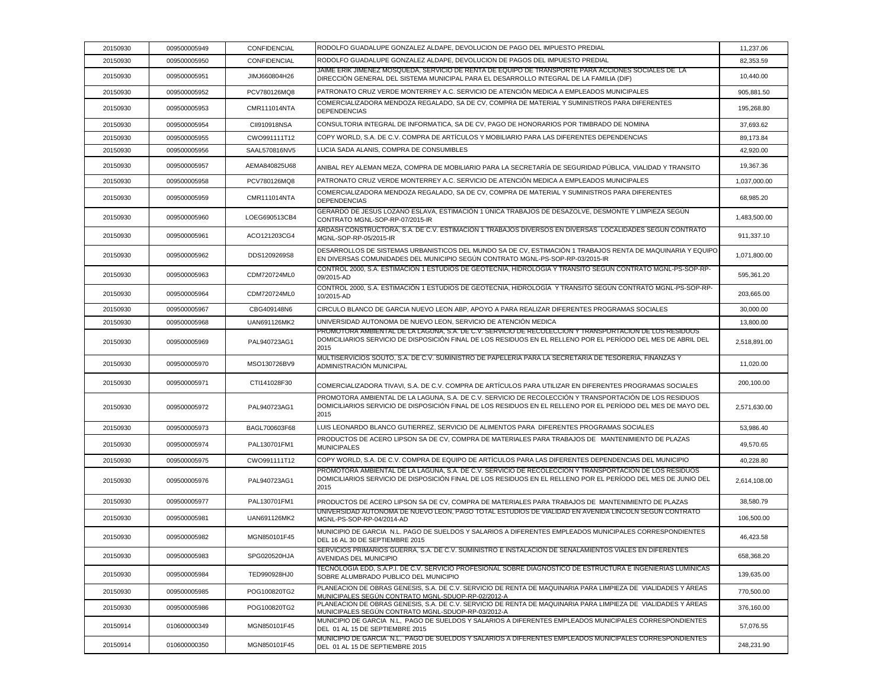| 20150930 | 009500005949 | <b>CONFIDENCIAL</b> | RODOLFO GUADALUPE GONZALEZ ALDAPE, DEVOLUCION DE PAGO DEL IMPUESTO PREDIAL                                                                                                                                                       | 11,237.06    |
|----------|--------------|---------------------|----------------------------------------------------------------------------------------------------------------------------------------------------------------------------------------------------------------------------------|--------------|
| 20150930 | 009500005950 | <b>CONFIDENCIAL</b> | RODOLFO GUADALUPE GONZALEZ ALDAPE, DEVOLUCION DE PAGOS DEL IMPUESTO PREDIAL                                                                                                                                                      | 82,353.59    |
| 20150930 | 009500005951 | JIMJ660804H26       | JAIME ERIK JIMENEZ MOSQUEDA, SERVICIO DE RENTA DE EQUIPO DE TRANSPORTE PARA ACCIONES SOCIALES DE LA<br>DIRECCIÓN GENERAL DEL SISTEMA MUNICIPAL PARA EL DESARROLLO INTEGRAL DE LA FAMILIA (DIF)                                   | 10,440.00    |
| 20150930 | 009500005952 | PCV780126MQ8        | PATRONATO CRUZ VERDE MONTERREY A.C. SERVICIO DE ATENCIÓN MEDICA A EMPLEADOS MUNICIPALES                                                                                                                                          | 905,881.50   |
| 20150930 | 009500005953 | CMR111014NTA        | COMERCIALIZADORA MENDOZA REGALADO. SA DE CV. COMPRA DE MATERIAL Y SUMINISTROS PARA DIFERENTES<br><b>DEPENDENCIAS</b>                                                                                                             | 195,268.80   |
| 20150930 | 009500005954 | CII910918NSA        | CONSULTORIA INTEGRAL DE INFORMATICA, SA DE CV, PAGO DE HONORARIOS POR TIMBRADO DE NOMINA                                                                                                                                         | 37,693.62    |
| 20150930 | 009500005955 | CWO991111T12        | COPY WORLD, S.A. DE C.V. COMPRA DE ARTÍCULOS Y MOBILIARIO PARA LAS DIFERENTES DEPENDENCIAS                                                                                                                                       | 89,173.84    |
| 20150930 | 009500005956 | SAAL570816NV5       | LUCIA SADA ALANIS. COMPRA DE CONSUMIBLES                                                                                                                                                                                         | 42,920.00    |
| 20150930 | 009500005957 | AEMA840825U68       | ANIBAL REY ALEMAN MEZA. COMPRA DE MOBILIARIO PARA LA SECRETARÍA DE SEGURIDAD PÚBLICA. VIALIDAD Y TRANSITO                                                                                                                        | 19,367.36    |
| 20150930 | 009500005958 | PCV780126MQ8        | PATRONATO CRUZ VERDE MONTERREY A.C. SERVICIO DE ATENCIÓN MEDICA A EMPLEADOS MUNICIPALES                                                                                                                                          | 1,037,000.00 |
| 20150930 | 009500005959 | CMR111014NTA        | COMERCIALIZADORA MENDOZA REGALADO, SA DE CV, COMPRA DE MATERIAL Y SUMINISTROS PARA DIFERENTES<br><b>DEPENDENCIAS</b>                                                                                                             | 68,985.20    |
| 20150930 | 009500005960 | LOEG690513CB4       | GERARDO DE JESUS LOZANO ESLAVA, ESTIMACIÓN 1 ÚNICA TRABAJOS DE DESAZOLVE, DESMONTE Y LIMPIEZA SEGÚN<br>CONTRATO MGNL-SOP-RP-07/2015-IR                                                                                           | 1,483,500.00 |
| 20150930 | 009500005961 | ACO121203CG4        | ARDASH CONSTRUCTORA, S.A. DE C.V. ESTIMACION 1 TRABAJOS DIVERSOS EN DIVERSAS  LOCALIDADES SEGUN CONTRATO<br>MGNL-SOP-RP-05/2015-IR                                                                                               | 911,337.10   |
| 20150930 | 009500005962 | DDS1209269S8        | DESARROLLOS DE SISTEMAS URBANISTICOS DEL MUNDO SA DE CV, ESTIMACIÓN 1 TRABAJOS RENTA DE MAQUINARIA Y EQUIPO<br>EN DIVERSAS COMUNIDADES DEL MUNICIPIO SEGÚN CONTRATO MGNL-PS-SOP-RP-03/2015-IR                                    | 1,071,800.00 |
| 20150930 | 009500005963 | CDM720724ML0        | CONTROL 2000, S.A. ESTIMACIÓN 1 ESTUDIOS DE GEOTECNIA, HIDROLOGIA Y TRANSITO SEGÚN CONTRATO MGNL-PS-SOP-RP-<br>09/2015-AD                                                                                                        | 595,361.20   |
| 20150930 | 009500005964 | CDM720724ML0        | CONTROL 2000, S.A. ESTIMACIÓN 1 ESTUDIOS DE GEOTECNIA, HIDROLOGIA Y TRANSITO SEGUN CONTRATO MGNL-PS-SOP-RP-<br>10/2015-AD                                                                                                        | 203,665.00   |
| 20150930 | 009500005967 | CBG409148N6         | CIRCULO BLANCO DE GARCIA NUEVO LEON ABP, APOYO A PARA REALIZAR DIFERENTES PROGRAMAS SOCIALES                                                                                                                                     | 30,000.00    |
| 20150930 | 009500005968 | UAN691126MK2        | UNIVERSIDAD AUTONOMA DE NUEVO LEON, SERVICIO DE ATENCIÓN MEDICA                                                                                                                                                                  | 13,800.00    |
| 20150930 | 009500005969 | PAL940723AG1        | PROMOTORA AMBIENTAL DE LA LAGUNA, S.A. DE C.V. SERVICIO DE RECOLECCION Y TRANSPORTACION DE LOS RESIDUOS<br>DOMICILIARIOS SERVICIO DE DISPOSICIÓN FINAL DE LOS RESIDUOS EN EL RELLENO POR EL PERÍODO DEL MES DE ABRIL DEL<br>2015 | 2,518,891.00 |
| 20150930 | 009500005970 | MSO130726BV9        | MULTISERVICIOS SOUTO, S.A. DE C.V. SUMINISTRO DE PAPELERIA PARA LA SECRETARIA DE TESORERIA, FINANZAS Y<br>ADMINISTRACIÓN MUNICIPAL                                                                                               | 11,020.00    |
| 20150930 | 009500005971 | CTI141028F30        | COMERCIALIZADORA TIVAVI, S.A. DE C.V. COMPRA DE ARTÍCULOS PARA UTILIZAR EN DIFERENTES PROGRAMAS SOCIALES                                                                                                                         | 200,100.00   |
| 20150930 | 009500005972 | PAL940723AG1        | PROMOTORA AMBIENTAL DE LA LAGUNA. S.A. DE C.V. SERVICIO DE RECOLECCIÓN Y TRANSPORTACIÓN DE LOS RESIDUOS<br>DOMICILIARIOS SERVICIO DE DISPOSICIÓN FINAL DE LOS RESIDUOS EN EL RELLENO POR EL PERÍODO DEL MES DE MAYO DEL<br>2015  | 2,571,630.00 |
| 20150930 | 009500005973 | BAGL700603F68       | LUIS LEONARDO BLANCO GUTIERREZ, SERVICIO DE ALIMENTOS PARA DIFERENTES PROGRAMAS SOCIALES                                                                                                                                         | 53,986.40    |
| 20150930 | 009500005974 | PAL130701FM1        | PRODUCTOS DE ACERO LIPSON SA DE CV, COMPRA DE MATERIALES PARA TRABAJOS DE MANTENIMIENTO DE PLAZAS<br><b>MUNICIPALES</b>                                                                                                          | 49,570.65    |
| 20150930 | 009500005975 | CWO991111T12        | COPY WORLD, S.A. DE C.V. COMPRA DE EQUIPO DE ARTÍCULOS PARA LAS DIFERENTES DEPENDENCIAS DEL MUNICIPIO                                                                                                                            | 40,228.80    |
| 20150930 | 009500005976 | PAL940723AG1        | PROMOTORA AMBIENTAL DE LA LAGUNA, S.A. DE C.V. SERVICIO DE RECOLECCIÓN Y TRANSPORTACIÓN DE LOS RESIDUOS<br>DOMICILIARIOS SERVICIO DE DISPOSICIÓN FINAL DE LOS RESIDUOS EN EL RELLENO POR EL PERÍODO DEL MES DE JUNIO DEL<br>2015 | 2,614,108.00 |
| 20150930 | 009500005977 | PAL130701FM1        | PRODUCTOS DE ACERO LIPSON SA DE CV, COMPRA DE MATERIALES PARA TRABAJOS DE MANTENIMIENTO DE PLAZAS                                                                                                                                | 38,580.79    |
| 20150930 | 009500005981 | UAN691126MK2        | <u>UNIVERSIDAD AUTONOMA DE NUEVO LEON, PAGO TOTAL ESTUDIOS DE VIALIDAD EN AVENIDA LINCOLN SEGUN CONTRATO I</u><br>MGNL-PS-SOP-RP-04/2014-AD                                                                                      | 106,500.00   |
| 20150930 | 009500005982 | MGN850101F45        | MUNICIPIO DE GARCIA N.L. PAGO DE SUELDOS Y SALARIOS A DIFERENTES EMPLEADOS MUNICIPALES CORRESPONDIENTES<br>DEL 16 AL 30 DE SEPTIEMBRE 2015                                                                                       | 46,423.58    |
| 20150930 | 009500005983 | SPG020520HJA        | SERVICIOS PRIMARIOS GUERRA, S.A. DE C.V. SUMINISTRO E INSTALACION DE SENALAMIENTOS VIALES EN DIFERENTES<br>AVENIDAS DEL MUNICIPIO                                                                                                | 658,368.20   |
| 20150930 | 009500005984 | TED990928HJ0        | TECNOLOGIA EDD, S.A.P.I. DE C.V. SERVICIO PROFESIONAL SOBRE DIAGNOSTICO DE ESTRUCTURA E INGENIERÍAS LUMÍNICAS<br>SOBRE ALUMBRADO PUBLICO DEL MUNICIPIO                                                                           | 139,635.00   |
| 20150930 | 009500005985 | POG100820TG2        | PLANEACION DE OBRAS GENESIS, S.A. DE C.V. SERVICIO DE RENTA DE MAQUINARIA PARA LIMPIEZA DE VIALIDADES Y ÁREAS<br>MUNICIPALES SEGÚN CONTRATO MGNL-SDUOP-RP-02/2012-A                                                              | 770,500.00   |
| 20150930 | 009500005986 | POG100820TG2        | PLANEACION DE OBRAS GENESIS, S.A. DE C.V. SERVICIO DE RENTA DE MAQUINARIA PARA LIMPIEZA DE VIALIDADES Y ÁREAS<br>MUNICIPALES SEGÚN CONTRATO MGNL-SDUOP-RP-03/2012-A                                                              | 376,160.00   |
| 20150914 | 010600000349 | MGN850101F45        | MUNICIPIO DE GARCIA N.L. PAGO DE SUELDOS Y SALARIOS A DIFERENTES EMPLEADOS MUNICIPALES CORRESPONDIENTES<br>DEL 01 AL 15 DE SEPTIEMBRE 2015                                                                                       | 57,076.55    |
| 20150914 | 010600000350 | MGN850101F45        | <u>MUNICIPIO DE GARCIA_N.L,  PAGO DE SUELDOS Y SALARIOS A DIFERENTES EMPLEADOS MUNICIPALES CORRESPONDIENTES </u><br>DEL 01 AL 15 DE SEPTIEMBRE 2015                                                                              | 248,231.90   |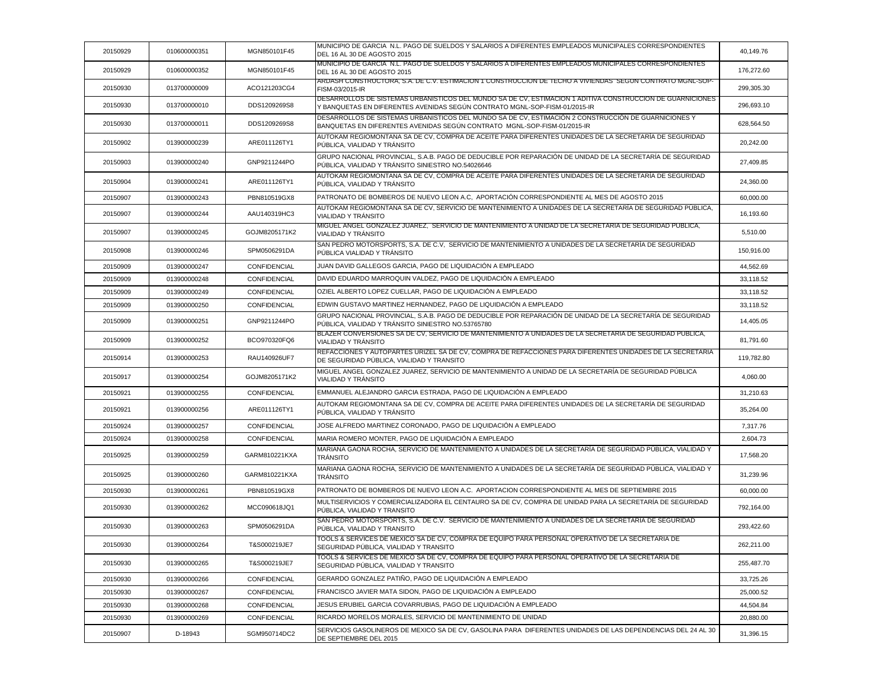| 20150929 | 010600000351 | MGN850101F45        | MUNICIPIO DE GARCIA N.L. PAGO DE SUELDOS Y SALARIOS A DIFERENTES EMPLEADOS MUNICIPALES CORRESPONDIENTES<br>DEL 16 AL 30 DE AGOSTO 2015                                                           | 40,149.76  |
|----------|--------------|---------------------|--------------------------------------------------------------------------------------------------------------------------------------------------------------------------------------------------|------------|
| 20150929 | 010600000352 | MGN850101F45        | <u>MUNICIPIO DE GARCIA_N.L. PAGO DE SUELDOS Y SALARIOS A DIFERENTES EMPLEADOS MUNICIPALES CORRESPONDIENTES</u><br>DEL 16 AL 30 DE AGOSTO 2015                                                    | 176,272.60 |
| 20150930 | 013700000009 | ACO121203CG4        | ARDASH CONSTRUCTORA, S.A. DE C.V. ESTIMACION 1 CONSTRUCCION DE TECHO A VIVIENDAS  SEGUN CONTRATO MGNL-SOP-<br>FISM-03/2015-IR                                                                    | 299,305.30 |
| 20150930 | 013700000010 | DDS1209269S8        | <u>IDESARROLLOS DE SISTEMAS URBANISTICOS DEL MUNDO SA DE CV, ESTIMACIÓN 1 ADITIVA CONSTRUCCIÓN DE GUARNICIÓNES</u><br>Y BANQUETAS EN DIFERENTES AVENIDAS SEGÚN CONTRATO MGNL-SOP-FISM-01/2015-IR | 296,693.10 |
| 20150930 | 013700000011 | DDS1209269S8        | DESARROLLOS DE SISTEMAS URBANISTICOS DEL MUNDO SA DE CV, ESTIMACIÓN 2 CONSTRUCCIÓN DE GUARNICIONES Y<br>BANQUETAS EN DIFERENTES AVENIDAS SEGUN CONTRATO MGNL-SOP-FISM-01/2015-IR                 | 628,564.50 |
| 20150902 | 013900000239 | ARE011126TY1        | AUTOKAM REGIOMONTANA SA DE CV, COMPRA DE ACEITE PARA DIFERENTES UNIDADES DE LA SECRETARÍA DE SEGURIDAD<br>PÚBLICA, VIALIDAD Y TRANSITO                                                           | 20,242.00  |
| 20150903 | 013900000240 | GNP9211244PO        | GRUPO NACIONAL PROVINCIAL, S.A.B. PAGO DE DEDUCIBLE POR REPARACIÓN DE UNIDAD DE LA SECRETARÍA DE SEGURIDAD<br>PÚBLICA, VIALIDAD Y TRÁNSITO SINIESTRO NO.54026646                                 | 27,409.85  |
| 20150904 | 013900000241 | ARE011126TY1        | AUTOKAM REGIOMONTANA SA DE CV, COMPRA DE ACEITE PARA DIFERENTES UNIDADES DE LA SECRETARÍA DE SEGURIDAD<br>PÚBLICA, VIALIDAD Y TRÁNSITO                                                           | 24,360.00  |
| 20150907 | 013900000243 | PBN810519GX8        | PATRONATO DE BOMBEROS DE NUEVO LEON A.C. APORTACIÓN CORRESPONDIENTE AL MES DE AGOSTO 2015                                                                                                        | 60,000.00  |
| 20150907 | 013900000244 | AAU140319HC3        | AUTOKAM REGIOMONTANA SA DE CV, SERVICIO DE MANTENIMIENTO A UNIDADES DE LA SECRETARÍA DE SEGURIDAD PÚBLICA,<br>VIALIDAD Y TRÁNSITO                                                                | 16,193.60  |
| 20150907 | 013900000245 | GOJM8205171K2       | <u>MIGUEL ANGEL GONZALEZ JUAREZ,  SERVICIO DE MANTENIMIENTO A UNIDAD DE LA SECRETARIA DE SEGURIDAD PUBLICA, </u><br>VIALIDAD Y TRÁNSITO                                                          | 5,510.00   |
| 20150908 | 013900000246 | SPM0506291DA        | SAN PEDRO MOTORSPORTS, S.A. DE C.V. SERVICIO DE MANTENIMIENTO A UNIDADES DE LA SECRETARÍA DE SEGURIDAD<br>PÚBLICA VIALIDAD Y TRÁNSITO                                                            | 150,916.00 |
| 20150909 | 013900000247 | CONFIDENCIAL        | JUAN DAVID GALLEGOS GARCIA. PAGO DE LIQUIDACIÓN A EMPLEADO                                                                                                                                       | 44,562.69  |
| 20150909 | 013900000248 | <b>CONFIDENCIAL</b> | DAVID EDUARDO MARROQUIN VALDEZ, PAGO DE LIQUIDACIÓN A EMPLEADO                                                                                                                                   | 33,118.52  |
| 20150909 | 013900000249 | CONFIDENCIAL        | OZIEL ALBERTO LOPEZ CUELLAR, PAGO DE LIQUIDACIÓN A EMPLEADO                                                                                                                                      | 33.118.52  |
| 20150909 | 013900000250 | CONFIDENCIAL        | EDWIN GUSTAVO MARTINEZ HERNANDEZ, PAGO DE LIQUIDACIÓN A EMPLEADO                                                                                                                                 | 33,118.52  |
| 20150909 | 013900000251 | GNP9211244PO        | GRUPO NACIONAL PROVINCIAL, S.A.B. PAGO DE DEDUCIBLE POR REPARACIÓN DE UNIDAD DE LA SECRETARÍA DE SEGURIDAD<br>PÚBLICA, VIALIDAD Y TRÁNSITO SINIESTRO NO.53765780                                 | 14,405.05  |
| 20150909 | 013900000252 | BCO970320FQ6        | BLAZER CONVERSIONES SA DE CV, SERVICIO DE MANTENIMIENTO A UNIDADES DE LA SECRETARIA DE SEGURIDAD PUBLICA,<br>VIALIDAD Y TRÁNSITO                                                                 | 81,791.60  |
| 20150914 | 013900000253 | RAU140926UF7        | <u>REFACCIONES Y AUTOPARTES URIZEL SA DE CV, COMPRA DE REFACCIONES PARA DIFERENTES UNIDADES DE LA SECRETARIA</u><br>DE SEGURIDAD PÚBLICA, VIALIDAD Y TRANSITO                                    | 119,782.80 |
| 20150917 | 013900000254 | GOJM8205171K2       | MIGUEL ANGEL GONZALEZ JUAREZ, SERVICIO DE MANTENIMIENTO A UNIDAD DE LA SECRETARÍA DE SEGURIDAD PÚBLICA<br><b>VIALIDAD Y TRANSITO</b>                                                             | 4,060.00   |
| 20150921 | 013900000255 | <b>CONFIDENCIAL</b> | EMMANUEL ALEJANDRO GARCIA ESTRADA. PAGO DE LIQUIDACIÓN A EMPLEADO                                                                                                                                | 31,210.63  |
| 20150921 | 013900000256 | ARE011126TY1        | AUTOKAM REGIOMONTANA SA DE CV, COMPRA DE ACEITE PARA DIFERENTES UNIDADES DE LA SECRETARÍA DE SEGURIDAD<br>PÚBLICA, VIALIDAD Y TRÁNSITO                                                           | 35,264.00  |
| 20150924 | 013900000257 | CONFIDENCIAL        | JOSE ALFREDO MARTINEZ CORONADO, PAGO DE LIQUIDACIÓN A EMPLEADO                                                                                                                                   | 7,317.76   |
| 20150924 | 013900000258 | <b>CONFIDENCIAL</b> | MARIA ROMERO MONTER, PAGO DE LIQUIDACIÓN A EMPLEADO                                                                                                                                              | 2,604.73   |
| 20150925 | 013900000259 | GARM810221KXA       | MARIANA GAONA ROCHA. SERVICIO DE MANTENIMIENTO A UNIDADES DE LA SECRETARÍA DE SEGURIDAD PÚBLICA. VIALIDAD Y<br><b>TRANSITO</b>                                                                   | 17,568.20  |
| 20150925 | 013900000260 | GARM810221KXA       | MARIANA GAONA ROCHA, SERVICIO DE MANTENIMIENTO A UNIDADES DE LA SECRETARÍA DE SEGURIDAD PÚBLICA, VIALIDAD Y<br><b>TRÁNSITO</b>                                                                   | 31,239.96  |
| 20150930 | 013900000261 | PBN810519GX8        | PATRONATO DE BOMBEROS DE NUEVO LEON A.C. APORTACION CORRESPONDIENTE AL MES DE SEPTIEMBRE 2015                                                                                                    | 60,000.00  |
| 20150930 | 013900000262 | MCC090618JQ1        | MULTISERVICIOS Y COMERCIALIZADORA EL CENTAURO SA DE CV. COMPRA DE UNIDAD PARA LA SECRETARÍA DE SEGURIDAD<br>PÚBLICA. VIALIDAD Y TRANSITO                                                         | 792,164.00 |
| 20150930 | 013900000263 | SPM0506291DA        | SAN PEDRO MOTORSPORTS, S.A. DE C.V. SERVICIO DE MANTENIMIENTO A UNIDADES DE LA SECRETARÍA DE SEGURIDAD<br>PÚBLICA, VIALIDAD Y TRANSITO                                                           | 293,422.60 |
| 20150930 | 013900000264 | T&S000219JE7        | TOOLS & SERVICES DE MEXICO SA DE CV, COMPRA DE EQUIPO PARA PERSONAL OPERATIVO DE LA SECRETARIA DE<br>SEGURIDAD PÚBLICA. VIALIDAD Y TRANSITO                                                      | 262,211.00 |
| 20150930 | 013900000265 | T&S000219JE7        | TOOLS & SERVICES DE MEXICO SA DE CV. COMPRA DE EQUIPO PARA PERSONAL OPERATIVO DE LA SECRETARÍA DE<br>SEGURIDAD PUBLICA, VIALIDAD Y TRANSITO                                                      | 255,487.70 |
| 20150930 | 013900000266 | <b>CONFIDENCIAL</b> | GERARDO GONZALEZ PATIÑO. PAGO DE LIQUIDACIÓN A EMPLEADO                                                                                                                                          | 33,725.26  |
| 20150930 | 013900000267 | <b>CONFIDENCIAL</b> | FRANCISCO JAVIER MATA SIDON, PAGO DE LIQUIDACIÓN A EMPLEADO                                                                                                                                      | 25,000.52  |
| 20150930 | 013900000268 | <b>CONFIDENCIAL</b> | JESUS ERUBIEL GARCIA COVARRUBIAS, PAGO DE LIQUIDACIÓN A EMPLEADO                                                                                                                                 | 44,504.84  |
| 20150930 | 013900000269 | <b>CONFIDENCIAL</b> | RICARDO MORELOS MORALES, SERVICIO DE MANTENIMIENTO DE UNIDAD                                                                                                                                     | 20,880.00  |
| 20150907 | D-18943      | SGM950714DC2        | SERVICIOS GASOLINEROS DE MEXICO SA DE CV, GASOLINA PARA DIFERENTES UNIDADES DE LAS DEPENDENCIAS DEL 24 AL 30<br>DE SEPTIEMBRE DEL 2015                                                           | 31,396.15  |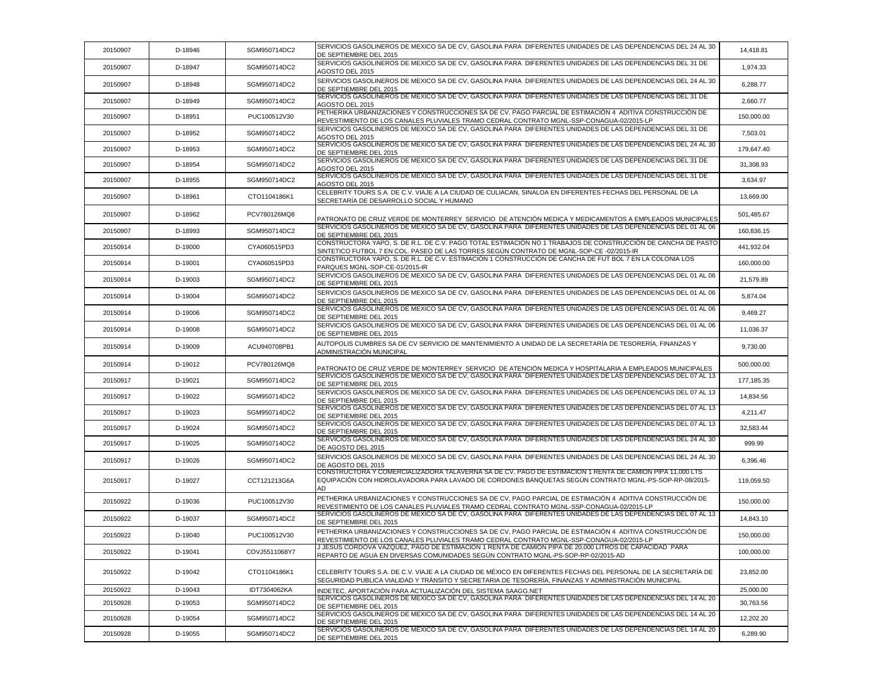| 20150907 | D-18946 | SGM950714DC2  | SERVICIOS GASOLINEROS DE MEXICO SA DE CV, GASOLINA PARA DIFERENTES UNIDADES DE LAS DEPENDENCIAS DEL 24 AL 30<br>DE SEPTIEMBRE DEL 2015                                                                                          | 14,418.81  |
|----------|---------|---------------|---------------------------------------------------------------------------------------------------------------------------------------------------------------------------------------------------------------------------------|------------|
| 20150907 | D-18947 | SGM950714DC2  | SERVICIOS GASOLINEROS DE MEXICO SA DE CV, GASOLINA PARA DIFERENTES UNIDADES DE LAS DEPENDENCIAS DEL 31 DE<br>AGOSTO DEL 2015                                                                                                    | 1,974.33   |
| 20150907 | D-18948 | SGM950714DC2  | SERVICIOS GASOLINEROS DE MEXICO SA DE CV, GASOLINA PARA DIFERENTES UNIDADES DE LAS DEPENDENCIAS DEL 24 AL 30<br>DE SEPTIEMBRE DEL 2015                                                                                          | 6,288.77   |
| 20150907 | D-18949 | SGM950714DC2  | SERVICIOS GASOLINEROS DE MEXICO SA DE CV. GASOLINA PARA DIFERENTES UNIDADES DE LAS DEPENDENCIAS DEL 31 DE<br>AGOSTO DEL 2015                                                                                                    | 2,660.77   |
| 20150907 | D-18951 | PUC100512V30  | PETHERIKA URBANIZACIONES Y CONSTRUCCIONES SA DE CV, PAGO PARCIAL DE ESTIMACIÓN 4  ADITIVA CONSTRUCCIÓN DE<br>REVESTIMIENTO DE LOS CANALES PLUVIALES TRAMO CEDRAL CONTRATO MGNL-SSP-CONAGUA-02/2015-LP                           | 150,000.00 |
| 20150907 | D-18952 | SGM950714DC2  | SERVICIOS GASOLINEROS DE MEXICO SA DE CV, GASOLINA PARA DIFERENTES UNIDADES DE LAS DEPENDENCIAS DEL 31 DE<br>AGOSTO DEL 2015                                                                                                    | 7,503.01   |
| 20150907 | D-18953 | SGM950714DC2  | SERVICIOS GASOLINEROS DE MEXICO SA DE CV, GASOLINA PARA DIFERENTES UNIDADES DE LAS DEPENDENCIAS DEL 24 AL 30<br>DE SEPTIEMBRE DEL 2015                                                                                          | 179,647.40 |
| 20150907 | D-18954 | SGM950714DC2  | SERVICIOS GASOLINEROS DE MEXICO SA DE CV, GASOLINA PARA  DIFERENTES UNIDADES DE LAS DEPENDENCIAS DEL 31 DE<br>AGOSTO DEL 2015                                                                                                   | 31,308.93  |
| 20150907 | D-18955 | SGM950714DC2  | SERVICIOS GASOLINEROS DE MEXICO SA DE CV, GASOLINA PARA DIFERENTES UNIDADES DE LAS DEPENDENCIAS DEL 31 DE<br>AGOSTO DEL 2015                                                                                                    | 3,634.97   |
| 20150907 | D-18961 | CTO1104186K1  | CELEBRITY TOURS S.A. DE C.V. VIAJE A LA CIUDAD DE CULIACAN, SINALOA EN DIFERENTES FECHAS DEL PERSONAL DE LA<br>SECRETARÍA DE DESARROLLO SOCIAL Y HUMANO                                                                         | 13,669.00  |
| 20150907 | D-18962 | PCV780126MQ8  | PATRONATO DE CRUZ VERDE DE MONTERREY SERVICIO DE ATENCIÓN MEDICA Y MEDICAMENTOS A EMPLEADOS MUNICIPALES                                                                                                                         | 501,485.67 |
| 20150907 | D-18993 | SGM950714DC2  | SERVICIOS GASOLINEROS DE MEXICO SA DE CV, GASOLINA PARA DIFERENTES UNIDADES DE LAS DEPENDENCIAS DEL 01 AL 06<br>DE SEPTIEMBRE DEL 2015                                                                                          | 160,836.15 |
| 20150914 | D-19000 | CYA060515PD3  | CONSTRUCTORA YAPO, S. DE R.L. DE C.V. PAGO TOTAL ESTIMACIÓN NO 1 TRABAJOS DE CONSTRUCCIÓN DE CANCHA DE PASTO<br>SINTETICO FUTBOL 7 EN COL. PASEO DE LAS TORRES SEGÚN CONTRATO DE MGNL-SOP-CE -02/2015-IR                        | 441,932.04 |
| 20150914 | D-19001 | CYA060515PD3  | CONSTRUCTORA YAPO, S. DE R.L. DE C.V. ESTIMACIÓN 1 CONSTRUCCIÓN DE CANCHA DE FUT BOL 7 EN LA COLONIA LOS<br>PARQUES MGNL-SOP-CE-01/2015-IR                                                                                      | 160,000.00 |
| 20150914 | D-19003 | SGM950714DC2  | SERVICIOS GASOLINEROS DE MEXICO SA DE CV, GASOLINA PARA DIFERENTES UNIDADES DE LAS DEPENDENCIAS DEL 01 AL 06<br>DE SEPTIEMBRE DEL 2015                                                                                          | 21,579.89  |
| 20150914 | D-19004 | SGM950714DC2  | SERVICIOS GASOLINEROS DE MEXICO SA DE CV, GASOLINA PARA DIFERENTES UNIDADES DE LAS DEPENDENCIAS DEL 01 AL 06<br>DE SEPTIEMBRE DEL 2015                                                                                          | 5,874.04   |
| 20150914 | D-19006 | SGM950714DC2  | SERVICIOS GASOLINEROS DE MEXICO SA DE CV, GASOLINA PARA DIFERENTES UNIDADES DE LAS DEPENDENCIAS DEL 01 AL 06<br>DE SEPTIEMBRE DEL 2015                                                                                          | 9,469.27   |
| 20150914 | D-19008 | SGM950714DC2  | SERVICIOS GASOLINEROS DE MEXICO SA DE CV, GASOLINA PARA DIFERENTES UNIDADES DE LAS DEPENDENCIAS DEL 01 AL 06<br>DE SEPTIEMBRE DEL 2015                                                                                          | 11,036.37  |
| 20150914 | D-19009 | ACU940708PB1  | AUTOPOLIS CUMBRES SA DE CV SERVICIO DE MANTENIMIENTO A UNIDAD DE LA SECRETARÍA DE TESORERÍA, FINANZAS Y<br>ADMINISTRACIÓN MUNICIPAL                                                                                             | 9,730.00   |
| 20150914 | D-19012 | PCV780126MQ8  | PATRONATO DE CRUZ VERDE DE MONTERREY SERVICIO DE ATENCIÓN MEDICA Y HOSPITALARIA A EMPLEADOS MUNICIPALES                                                                                                                         | 500,000.00 |
| 20150917 | D-19021 | SGM950714DC2  | SERVICIOS GASOLINEROS DE MEXICO SA DE CV, GASOLINA PARA DIFERENTES UNIDADES DE LAS DEPENDENCIAS DEL 07 AL 13<br>DE SEPTIEMBRE DEL 2015                                                                                          | 177,185.35 |
| 20150917 | D-19022 | SGM950714DC2  | SERVICIOS GASOLINEROS DE MEXICO SA DE CV. GASOLINA PARA DIFERENTES UNIDADES DE LAS DEPENDENCIAS DEL 07 AL 13<br>DE SEPTIEMBRE DEL 2015                                                                                          | 14.834.56  |
| 20150917 | D-19023 | SGM950714DC2  | SERVICIOS GASOLINEROS DE MEXICO SA DE CV, GASOLINA PARA DIFERENTES UNIDADES DE LAS DEPENDENCIAS DEL 07 AL 13<br>DE SEPTIEMBRE DEL 2015                                                                                          | 4,211.47   |
| 20150917 | D-19024 | SGM950714DC2  | SERVICIOS GASOLINEROS DE MEXICO SA DE CV, GASOLINA PARA DIFERENTES UNIDADES DE LAS DEPENDENCIAS DEL 07 AL 13<br>DE SEPTIEMBRE DEL 2015                                                                                          | 32,583.44  |
| 20150917 | D-19025 | SGM950714DC2  | SERVICIOS GASOLINEROS DE MEXICO SA DE CV. GASOLINA PARA DIFERENTES UNIDADES DE LAS DEPENDENCIAS DEL 24 AL 30<br>DE AGOSTO DEL 2015                                                                                              | 999.99     |
| 20150917 | D-19026 | SGM950714DC2  | SERVICIOS GASOLINEROS DE MEXICO SA DE CV, GASOLINA PARA DIFERENTES UNIDADES DE LAS DEPENDENCIAS DEL 24 AL 30<br>DE AGOSTO DEL 2015                                                                                              | 6,396.46   |
| 20150917 | D-19027 | CCT121213G6A  | <u>CONSTRUCTORA Y COMERCIALIZADORA TALAVERNA SA DE CV, PAGO DE ESTIMACION 1 RENTA DE CAMION PIPA 11,000 LTS </u><br>EQUIPACIÓN CON HIDROLAVADORA PARA LAVADO DE CORDONES BANQUETAS SEGUN CONTRATO MGNL-PS-SOP-RP-08/2015-<br>AD | 119,059.50 |
| 20150922 | D-19036 | PUC100512V30  | PETHERIKA URBANIZACIONES Y CONSTRUCCIONES SA DE CV, PAGO PARCIAL DE ESTIMACIÓN 4 ADITIVA CONSTRUCCIÓN DE<br>REVESTIMIENTO DE LOS CANALES PLUVIALES TRAMO CEDRAL CONTRATO MGNL-SSP-CONAGUA-02/2015-LP                            | 150,000.00 |
| 20150922 | D-19037 | SGM950714DC2  | SERVICIOS GASOLINEROS DE MEXICO SA DE CV, GASOLINA PARA DIFERENTES UNIDADES DE LAS DEPENDENCIAS DEL 07 AL 13<br>DE SEPTIEMBRE DEL 2015                                                                                          | 14,843.10  |
| 20150922 | D-19040 | PUC100512V30  | PETHERIKA URBANIZACIONES Y CONSTRUCCIONES SA DE CV, PAGO PARCIAL DE ESTIMACIÓN 4 ADITIVA CONSTRUCCIÓN DE<br>REVESTIMIENTO DE LOS CANALES PLUVIALES TRAMO CEDRAL CONTRATO MGNL-SSP-CONAGUA-02/2015-LP                            | 150,000.00 |
| 20150922 | D-19041 | COVJ5511068Y7 | J JESUS CORDOVA VAZQUEZ, PAGO DE ESTIMACION 1 RENTA DE CAMION PIPA DE 20,000 LITROS DE CAPACIDAD  PARA<br>REPARTO DE AGUA EN DIVERSAS COMUNIDADES SEGÚN CONTRATO MGNL-PS-SOP-RP-02/2015-AD                                      | 100,000.00 |
| 20150922 | D-19042 | CTO1104186K1  | CELEBRITY TOURS S.A. DE C.V. VIAJE A LA CIUDAD DE MÉXICO EN DIFERENTES FECHAS DEL PERSONAL DE LA SECRETARÍA DE<br>SEGURIDAD PUBLICA VIALIDAD Y TRÁNSITO Y SECRETARIA DE TESORERÍA, FINANZAS Y ADMINISTRACIÓN MUNICIPAL          | 23,852.00  |
| 20150922 | D-19043 | IDT7304062KA  | INDETEC, APORTACIÓN PARA ACTUALIZACIÓN DEL SISTEMA SAAGG.NET                                                                                                                                                                    | 25,000.00  |
| 20150928 | D-19053 | SGM950714DC2  | SERVICIOS GASOLINEROS DE MEXICO SA DE CV, GASOLINA PARA DIFERENTES UNIDADES DE LAS DEPENDENCIAS DEL 14 AL 20<br>DE SEPTIEMBRE DEL 2015                                                                                          | 30,763.56  |
| 20150928 | D-19054 | SGM950714DC2  | SERVICIOS GASOLINEROS DE MEXICO SA DE CV, GASOLINA PARA DIFERENTES UNIDADES DE LAS DEPENDENCIAS DEL 14 AL 20<br>DE SEPTIEMBRE DEL 2015                                                                                          | 12,202.20  |
| 20150928 | D-19055 | SGM950714DC2  | SERVICIOS GASOLINEROS DE MEXICO SA DE CV, GASOLINA PARA DIFERENTES UNIDADES DE LAS DEPENDENCIAS DEL 14 AL 20<br>DE SEPTIEMBRE DEL 2015                                                                                          | 6,289.90   |